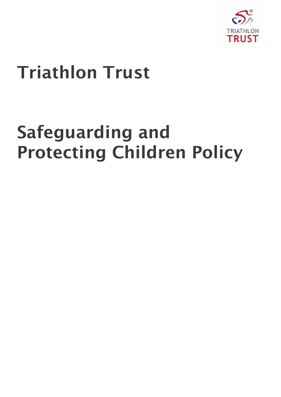

# Triathlon Trust

# Safeguarding and Protecting Children Policy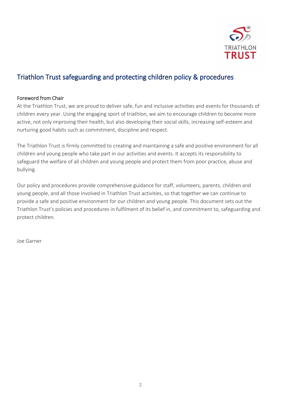

# Triathlon Trust safeguarding and protecting children policy & procedures

#### Foreword from Chair

At the Triathlon Trust, we are proud to deliver safe, fun and inclusive activities and events for thousands of children every year. Using the engaging sport of triathlon, we aim to encourage children to become more active, not only improving their health, but also developing their social skills, increasing self-esteem and nurturing good habits such as commitment, discipline and respect.

The Triathlon Trust is firmly committed to creating and maintaining a safe and positive environment for all children and young people who take part in our activities and events. It accepts its responsibility to safeguard the welfare of all children and young people and protect them from poor practice, abuse and bullying.

Our policy and procedures provide comprehensive guidance for staff, volunteers, parents, children and young people, and all those involved in Triathlon Trust activities, so that together we can continue to provide a safe and positive environment for our children and young people. This document sets out the Triathlon Trust's policies and procedures in fulfilment of its belief in, and commitment to, safeguarding and protect children.

Joe Garner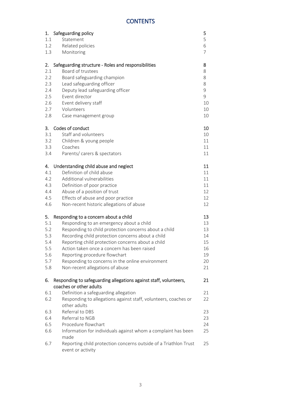## **CONTENTS**

| 1.<br>1.1<br>1.2<br>1.3 | Safeguarding policy<br>Statement<br>Related policies<br>Monitoring                                                                   | 5<br>5<br>6<br>$\overline{7}$ |
|-------------------------|--------------------------------------------------------------------------------------------------------------------------------------|-------------------------------|
| 2.<br>2.1<br>2.2<br>2.3 | Safeguarding structure - Roles and responsibilities<br>Board of trustees<br>Board safeguarding champion<br>Lead safeguarding officer | 8<br>8<br>8<br>8              |
| 2.4<br>2.5              | Deputy lead safeguarding officer<br>Event director                                                                                   | 9<br>9                        |
| 2.6<br>2.7              | Event delivery staff<br>Volunteers                                                                                                   | 10<br>10                      |
| 2.8                     | Case management group                                                                                                                | 10                            |
| 3.                      | Codes of conduct                                                                                                                     | 10                            |
| 3.1                     | Staff and volunteers                                                                                                                 | 10                            |
| 3.2                     | Children & young people                                                                                                              | 11                            |
| 3.3                     | Coaches                                                                                                                              | 11                            |
| 3.4                     | Parents/ carers & spectators                                                                                                         | 11                            |
| 4.                      | Understanding child abuse and neglect                                                                                                | 11                            |
| 4.1                     | Definition of child abuse                                                                                                            | 11                            |
| 4.2                     | Additional vulnerabilities                                                                                                           | 11                            |
| 4.3                     | Definition of poor practice                                                                                                          | 11                            |
| 4.4                     | Abuse of a position of trust                                                                                                         | 12                            |
| 4.5                     | Effects of abuse and poor practice                                                                                                   | 12                            |
| 4.6                     | Non-recent historic allegations of abuse                                                                                             | 12                            |
| 5.                      | Responding to a concern about a child                                                                                                | 13                            |
| 5.1                     | Responding to an emergency about a child                                                                                             | 13                            |
| 5.2                     | Responding to child protection concerns about a child                                                                                | 13                            |
| 5.3                     | Recording child protection concerns about a child                                                                                    | 14                            |
| 5.4                     | Reporting child protection concerns about a child                                                                                    | 15                            |
| 5.5                     | Action taken once a concern has been raised                                                                                          | 16                            |
| 5.6                     | Reporting procedure flowchart                                                                                                        | 19                            |
| 5.7<br>5.8              | Responding to concerns in the online environment<br>Non-recent allegations of abuse                                                  | 20<br>21                      |
| 6.                      | Responding to safeguarding allegations against staff, volunteers,                                                                    | 21                            |
|                         | coaches or other adults                                                                                                              |                               |
| 6.1                     | Definition a safeguarding allegation                                                                                                 | 21                            |
| 6.2                     | Responding to allegations against staff, volunteers, coaches or                                                                      | 22                            |
|                         | other adults                                                                                                                         |                               |
| 6.3                     | Referral to DBS                                                                                                                      | 23                            |
| 6.4                     | Referral to NGB                                                                                                                      | 23                            |
| 6.5                     | Procedure flowchart                                                                                                                  | 24                            |
| 6.6                     | Information for individuals against whom a complaint has been<br>made                                                                | 25                            |
| 6.7                     | Reporting child protection concerns outside of a Triathlon Trust<br>event or activity                                                | 25                            |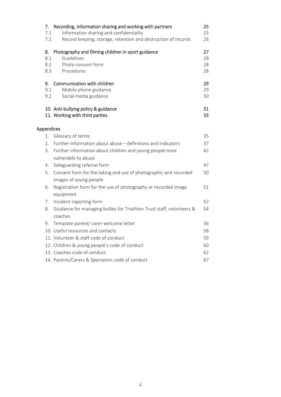| 7.<br>7.1<br>7.2        | Recording, information sharing and working with partners<br>Information sharing and confidentiality<br>Record keeping, storage, retention and destruction of records | 25<br>25<br>26       |
|-------------------------|----------------------------------------------------------------------------------------------------------------------------------------------------------------------|----------------------|
| 8.<br>8.1<br>8.2<br>8.3 | Photography and filming children in sport guidance<br>Guidelines<br>Photo consent form<br>Procedures                                                                 | 27<br>28<br>28<br>28 |
| 9.<br>9.1<br>9.2        | Communication with children<br>Mobile phone guidance<br>Social media guidance                                                                                        | 29<br>29<br>30       |
|                         | 10. Anti-bullying policy & guidance<br>11. Working with third parties                                                                                                | 31<br>33             |
| Appendices              |                                                                                                                                                                      |                      |
| 1.                      | Glossary of terms                                                                                                                                                    | 35                   |
| 2.                      | Further information about abuse - definitions and indicators                                                                                                         | 37                   |
| 3.                      | Further information about children and young people most<br>vulnerable to abuse                                                                                      | 42                   |
| 4.                      | Safeguarding referral form                                                                                                                                           | 47                   |
| 5.                      | Consent form for the taking and use of photographic and recorded<br>images of young people                                                                           | 50                   |
| 6.                      | Registration form for the use of photography or recorded image<br>equipment                                                                                          | 51                   |
| 7.                      | Incident reporting form                                                                                                                                              | 52                   |
| 8.                      | Guidance for managing bullies for Triathlon Trust staff, volunteers &<br>coaches                                                                                     | 54                   |
| 9.                      | Template parent/ carer welcome letter                                                                                                                                | 56                   |
|                         | 10. Useful resources and contacts                                                                                                                                    | 58                   |
|                         | 11. Volunteer & staff code of conduct                                                                                                                                | 59                   |
|                         | 12. Children & young people's code of conduct                                                                                                                        | 60                   |
|                         | 13. Coaches code of conduct                                                                                                                                          | 62                   |
|                         | 14. Parents/Carers & Spectators code of conduct                                                                                                                      | 67                   |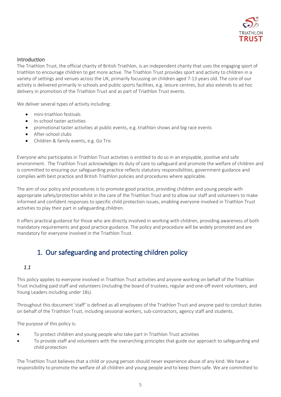

#### Introduction

The Triathlon Trust, the official charity of British Triathlon, is an independent charity that uses the engaging sport of triathlon to encourage children to get more active. The Triathlon Trust provides sport and activity to children in a variety of settings and venues across the UK, primarily focussing on children aged 7-13 years old. The core of our activity is delivered primarily in schools and public sports facilities, e.g. leisure centres, but also extends to ad hoc delivery in promotion of the Triathlon Trust and as part of Triathlon Trust events.

We deliver several types of activity including:

- mini-triathlon festivals
- in-school taster activities
- promotional taster activities at public events, e.g. triathlon shows and big race events
- After-school clubs
- Children & family events, e.g. Go Tris

Everyone who participates in Triathlon Trust activities is entitled to do so in an enjoyable, positive and safe environment. The Triathlon Trust acknowledges its duty of care to safeguard and promote the welfare of children and is committed to ensuring our safeguarding practice reflects statutory responsibilities, government guidance and complies with best practice and British Triathlon policies and procedures where applicable.

The aim of our policy and procedures is to promote good practice, providing children and young people with appropriate safety/protection whilst in the care of the Triathlon Trust and to allow our staff and volunteers to make informed and confident responses to specific child protection issues, enabling everyone involved in Triathlon Trust activities to play their part in safeguarding children.

It offers practical guidance for those who are directly involved in working with children, providing awareness of both mandatory requirements and good practice guidance. The policy and procedure will be widely promoted and are mandatory for everyone involved in the Triathlon Trust.

# 1. Our safeguarding and protecting children policy

#### *1.1*

This policy applies to everyone involved in Triathlon Trust activities and anyone working on behalf of the Triathlon Trust including paid staff and volunteers (including the board of trustees, regular and one-off event volunteers, and Young Leaders including under 18s).

Throughout this document 'staff' is defined as all employees of the Triathlon Trust and anyone paid to conduct duties on behalf of the Triathlon Trust, including sessional workers, sub-contractors, agency staff and students.

The purpose of this policy is:

- To protect children and young people who take part in Triathlon Trust activities
- To provide staff and volunteers with the overarching principles that guide our approach to safeguarding and child protection

The Triathlon Trust believes that a child or young person should never experience abuse of any kind. We have a responsibility to promote the welfare of all children and young people and to keep them safe. We are committed to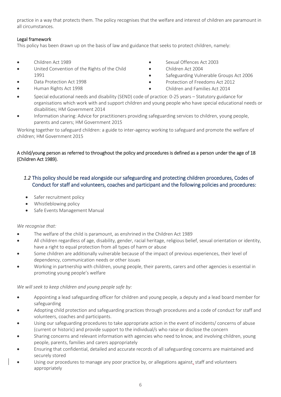practice in a way that protects them. The policy recognises that the welfare and interest of children are paramount in all circumstances.

#### Legal framework

This policy has been drawn up on the basis of law and guidance that seeks to protect children, namely:

- Children Act 1989
- United Convention of the Rights of the Child 1991
- Data Protection Act 1998
- Human Rights Act 1998
- Sexual Offences Act 2003
- Children Act 2004
- Safeguarding Vulnerable Groups Act 2006
- Protection of Freedoms Act 2012
- Children and Families Act 2014
- Special educational needs and disability (SEND) code of practice: 0-25 years Statutory guidance for organisations which work with and support children and young people who have special educational needs or disabilities; HM Government 2014
- Information sharing: Advice for practitioners providing safeguarding services to children, young people, parents and carers; HM Government 2015

Working together to safeguard children: a guide to inter-agency working to safeguard and promote the welfare of children; HM Government 2015

#### A child/young person as referred to throughout the policy and procedures is defined as a person under the age of 18 (Children Act 1989).

#### *1.2* This policy should be read alongside our safeguarding and protecting children procedures, Codes of Conduct for staff and volunteers, coaches and participant and the following policies and procedures:

- Safer recruitment policy
- Whistleblowing policy
- Safe Events Management Manual

#### *We recognise that:*

- The welfare of the child is paramount, as enshrined in the Children Act 1989
- All children regardless of age, disability, gender, racial heritage, religious belief, sexual orientation or identity, have a right to equal protection from all types of harm or abuse
- Some children are additionally vulnerable because of the impact of previous experiences, their level of dependency, communication needs or other issues
- Working in partnership with children, young people, their parents, carers and other agencies is essential in promoting young people's welfare

#### *We will seek to keep children and young people safe by:*

- Appointing a lead safeguarding officer for children and young people, a deputy and a lead board member for safeguarding
- Adopting child protection and safeguarding practices through procedures and a code of conduct for staff and volunteers, coaches and participants.
- Using our safeguarding procedures to take appropriate action in the event of incidents/ concerns of abuse (current or historic) and provide support to the individual/s who raise or disclose the concern
- Sharing concerns and relevant information with agencies who need to know, and involving children, young people, parents, families and carers appropriately
- Ensuring that confidential, detailed and accurate records of all safeguarding concerns are maintained and securely stored
- Using our procedures to manage any poor practice by, or allegations against, staff and volunteers appropriately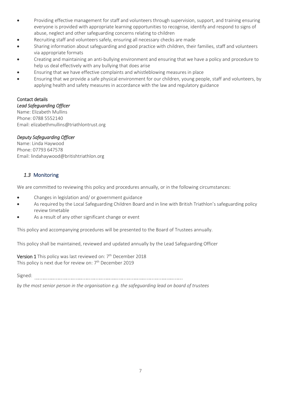- Providing effective management for staff and volunteers through supervision, support, and training ensuring everyone is provided with appropriate learning opportunities to recognise, identify and respond to signs of abuse, neglect and other safeguarding concerns relating to children
- Recruiting staff and volunteers safely, ensuring all necessary checks are made
- Sharing information about safeguarding and good practice with children, their families, staff and volunteers via appropriate formats
- Creating and maintaining an anti-bullying environment and ensuring that we have a policy and procedure to help us deal effectively with any bullying that does arise
- Ensuring that we have effective complaints and whistleblowing measures in place
- Ensuring that we provide a safe physical environment for our children, young people, staff and volunteers, by applying health and safety measures in accordance with the law and regulatory guidance

#### Contact details

*Lead Safeguarding Officer*  Name: Elizabeth Mullins Phone: 0788 5552140 Email: elizabethmullins@triathlontrust.org

#### *Deputy Safeguarding Officer*

Name: Linda Haywood Phone: 07793 647578 Email: lindahaywood@britishtriathlon.org

#### *1.3* Monitoring

We are committed to reviewing this policy and procedures annually, or in the following circumstances:

- Changes in legislation and/ or government guidance
- As required by the Local Safeguarding Children Board and in line with British Triathlon's safeguarding policy review timetable
- As a result of any other significant change or event

This policy and accompanying procedures will be presented to the Board of Trustees annually.

This policy shall be maintained, reviewed and updated annually by the Lead Safeguarding Officer

Version 1 This policy was last reviewed on: 7<sup>th</sup> December 2018 This policy is next due for review on: 7<sup>th</sup> December 2019

Signed:

*by the most senior person in the organisation e.g. the safeguarding lead on board of trustees*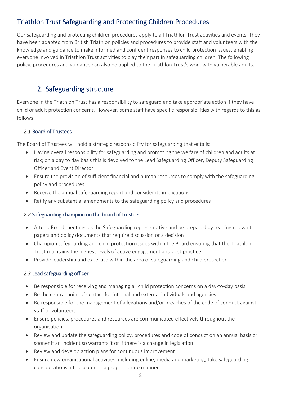# Triathlon Trust Safeguarding and Protecting Children Procedures

Our safeguarding and protecting children procedures apply to all Triathlon Trust activities and events. They have been adapted from British Triathlon policies and procedures to provide staff and volunteers with the knowledge and guidance to make informed and confident responses to child protection issues, enabling everyone involved in Triathlon Trust activities to play their part in safeguarding children. The following policy, procedures and guidance can also be applied to the Triathlon Trust's work with vulnerable adults.

# 2. Safeguarding structure

Everyone in the Triathlon Trust has a responsibility to safeguard and take appropriate action if they have child or adult protection concerns. However, some staff have specific responsibilities with regards to this as follows:

#### *2.1* Board of Trustees

The Board of Trustees will hold a strategic responsibility for safeguarding that entails:

- Having overall responsibility for safeguarding and promoting the welfare of children and adults at risk; on a day to day basis this is devolved to the Lead Safeguarding Officer, Deputy Safeguarding Officer and Event Director
- Ensure the provision of sufficient financial and human resources to comply with the safeguarding policy and procedures
- Receive the annual safeguarding report and consider its implications
- Ratify any substantial amendments to the safeguarding policy and procedures

#### *2.2* Safeguarding champion on the board of trustees

- Attend Board meetings as the Safeguarding representative and be prepared by reading relevant papers and policy documents that require discussion or a decision
- Champion safeguarding and child protection issues within the Board ensuring that the Triathlon Trust maintains the highest levels of active engagement and best practice
- Provide leadership and expertise within the area of safeguarding and child protection

#### *2.3* Lead safeguarding officer

- Be responsible for receiving and managing all child protection concerns on a day-to-day basis
- Be the central point of contact for internal and external individuals and agencies
- Be responsible for the management of allegations and/or breaches of the code of conduct against staff or volunteers
- Ensure policies, procedures and resources are communicated effectively throughout the organisation
- Review and update the safeguarding policy, procedures and code of conduct on an annual basis or sooner if an incident so warrants it or if there is a change in legislation
- Review and develop action plans for continuous improvement
- Ensure new organisational activities, including online, media and marketing, take safeguarding considerations into account in a proportionate manner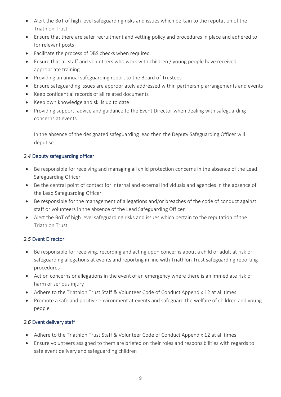- Alert the BoT of high level safeguarding risks and issues which pertain to the reputation of the Triathlon Trust
- Ensure that there are safer recruitment and vetting policy and procedures in place and adhered to for relevant posts
- Facilitate the process of DBS checks when required
- Ensure that all staff and volunteers who work with children / young people have received appropriate training
- Providing an annual safeguarding report to the Board of Trustees
- Ensure safeguarding issues are appropriately addressed within partnership arrangements and events
- Keep confidential records of all related documents
- Keep own knowledge and skills up to date
- Providing support, advice and guidance to the Event Director when dealing with safeguarding concerns at events.

In the absence of the designated safeguarding lead then the Deputy Safeguarding Officer will deputise

#### *2.4* Deputy safeguarding officer

- Be responsible for receiving and managing all child protection concerns in the absence of the Lead Safeguarding Officer
- Be the central point of contact for internal and external individuals and agencies in the absence of the Lead Safeguarding Officer
- Be responsible for the management of allegations and/or breaches of the code of conduct against staff or volunteers in the absence of the Lead Safeguarding Officer
- Alert the BoT of high level safeguarding risks and issues which pertain to the reputation of the Triathlon Trust

#### *2.5* Event Director

- Be responsible for receiving, recording and acting upon concerns about a child or adult at risk or safeguarding allegations at events and reporting in line with Triathlon Trust safeguarding reporting procedures
- Act on concerns or allegations in the event of an emergency where there is an immediate risk of harm or serious injury
- Adhere to the Triathlon Trust Staff & Volunteer Code of Conduct Appendix 12 at all times
- Promote a safe and positive environment at events and safeguard the welfare of children and young people

#### *2.6* Event delivery staff

- Adhere to the Triathlon Trust Staff & Volunteer Code of Conduct Appendix 12 at all times
- Ensure volunteers assigned to them are briefed on their roles and responsibilities with regards to safe event delivery and safeguarding children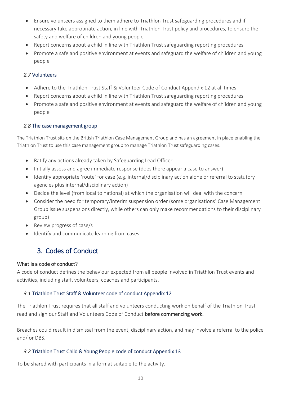- Ensure volunteers assigned to them adhere to Triathlon Trust safeguarding procedures and if necessary take appropriate action, in line with Triathlon Trust policy and procedures, to ensure the safety and welfare of children and young people
- Report concerns about a child in line with Triathlon Trust safeguarding reporting procedures
- Promote a safe and positive environment at events and safeguard the welfare of children and young people

#### *2.7* Volunteers

- Adhere to the Triathlon Trust Staff & Volunteer Code of Conduct Appendix 12 at all times
- Report concerns about a child in line with Triathlon Trust safeguarding reporting procedures
- Promote a safe and positive environment at events and safeguard the welfare of children and young people

#### *2.8* The case management group

The Triathlon Trust sits on the British Triathlon Case Management Group and has an agreement in place enabling the Triathlon Trust to use this case management group to manage Triathlon Trust safeguarding cases.

- Ratify any actions already taken by Safeguarding Lead Officer
- Initially assess and agree immediate response (does there appear a case to answer)
- Identify appropriate 'route' for case (e.g. internal/disciplinary action alone or referral to statutory agencies plus internal/disciplinary action)
- Decide the level (from local to national) at which the organisation will deal with the concern
- Consider the need for temporary/interim suspension order (some organisations' Case Management Group issue suspensions directly, while others can only make recommendations to their disciplinary group)
- Review progress of case/s
- Identify and communicate learning from cases

# 3. Codes of Conduct

#### What is a code of conduct?

A code of conduct defines the behaviour expected from all people involved in Triathlon Trust events and activities, including staff, volunteers, coaches and participants.

#### *3.1* Triathlon Trust Staff & Volunteer code of conduct Appendix 12

The Triathlon Trust requires that all staff and volunteers conducting work on behalf of the Triathlon Trust read and sign our Staff and Volunteers Code of Conduct before commencing work.

Breaches could result in dismissal from the event, disciplinary action, and may involve a referral to the police and/ or DBS.

#### *3.2* Triathlon Trust Child & Young People code of conduct Appendix 13

To be shared with participants in a format suitable to the activity.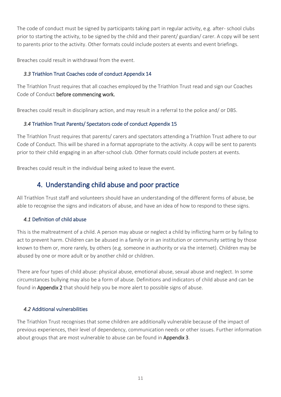The code of conduct must be signed by participants taking part in regular activity, e.g. after- school clubs prior to starting the activity, to be signed by the child and their parent/ guardian/ carer. A copy will be sent to parents prior to the activity. Other formats could include posters at events and event briefings.

Breaches could result in withdrawal from the event.

#### *3.3* Triathlon Trust Coaches code of conduct Appendix 14

The Triathlon Trust requires that all coaches employed by the Triathlon Trust read and sign our Coaches Code of Conduct before commencing work.

Breaches could result in disciplinary action, and may result in a referral to the police and/ or DBS.

#### *3.4* Triathlon Trust Parents/ Spectators code of conduct Appendix 15

The Triathlon Trust requires that parents/ carers and spectators attending a Triathlon Trust adhere to our Code of Conduct. This will be shared in a format appropriate to the activity. A copy will be sent to parents prior to their child engaging in an after-school club. Other formats could include posters at events.

Breaches could result in the individual being asked to leave the event.

# 4. Understanding child abuse and poor practice

All Triathlon Trust staff and volunteers should have an understanding of the different forms of abuse, be able to recognise the signs and indicators of abuse, and have an idea of how to respond to these signs.

#### *4.1* Definition of child abuse

This is the maltreatment of a child. A person may abuse or neglect a child by inflicting harm or by failing to act to prevent harm. Children can be abused in a family or in an institution or community setting by those known to them or, more rarely, by others (e.g. someone in authority or via the internet). Children may be abused by one or more adult or by another child or children.

There are four types of child abuse: physical abuse, emotional abuse, sexual abuse and neglect. In some circumstances bullying may also be a form of abuse. Definitions and indicators of child abuse and can be found in Appendix 2 that should help you be more alert to possible signs of abuse.

#### *4.2* Additional vulnerabilities

The Triathlon Trust recognises that some children are additionally vulnerable because of the impact of previous experiences, their level of dependency, communication needs or other issues. Further information about groups that are most vulnerable to abuse can be found in Appendix 3.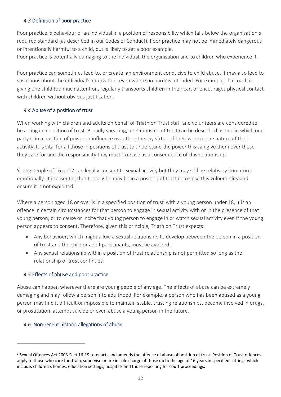#### *4.3* Definition of poor practice

Poor practice is behaviour of an individual in a position of responsibility which falls below the organisation's required standard (as described in our Codes of Conduct). Poor practice may not be immediately dangerous or intentionally harmful to a child, but is likely to set a poor example.

Poor practice is potentially damaging to the individual, the organisation and to children who experience it.

Poor practice can sometimes lead to, or create, an environment conducive to child abuse. It may also lead to suspicions about the individual's motivation, even where no harm is intended. For example, if a coach is giving one child too much attention, regularly transports children in their car, or encourages physical contact with children without obvious justification.

#### *4.4* Abuse of a position of trust

When working with children and adults on behalf of Triathlon Trust staff and volunteers are considered to be acting in a position of trust. Broadly speaking, a relationship of trust can be described as one in which one party is in a position of power or influence over the other by virtue of their work or the nature of their activity. It is vital for all those in positions of trust to understand the power this can give them over those they care for and the responsibility they must exercise as a consequence of this relationship.

Young people of 16 or 17 can legally consent to sexual activity but they may still be relatively immature emotionally. It is essential that those who may be in a position of trust recognise this vulnerability and ensure it is not exploited.

Where a person aged 18 or over is in a specified position of trust<sup>1</sup>with a young person under 18, it is an offence in certain circumstances for that person to engage in sexual activity with or in the presence of that young person, or to cause or incite that young person to engage in or watch sexual activity even if the young person appears to consent. Therefore, given this principle, Triathlon Trust expects:

- Any behaviour, which might allow a sexual relationship to develop between the person in a position of trust and the child or adult participants, must be avoided.
- Any sexual relationship within a position of trust relationship is not permitted so long as the relationship of trust continues.

#### *4.5* Effects of abuse and poor practice

Abuse can happen wherever there are young people of any age. The effects of abuse can be extremely damaging and may follow a person into adulthood. For example, a person who has been abused as a young person may find it difficult or impossible to maintain stable, trusting relationships, become involved in drugs, or prostitution, attempt suicide or even abuse a young person in the future.

#### *4.6* Non-recent historic allegations of abuse

1

<sup>&</sup>lt;sup>1</sup> Sexual Offences Act 2003.Sect 16-19 re-enacts and amends the offence of abuse of position of trust. Position of Trust offences apply to those who care for, train, supervise or are in sole charge of those up to the age of 16 years in specified settings which include: children's homes, education settings, hospitals and those reporting for court proceedings.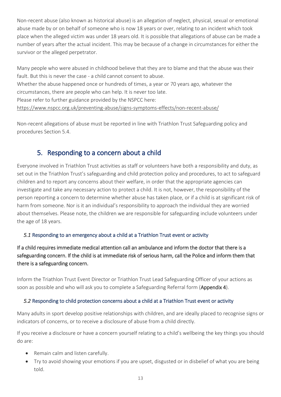Non-recent abuse (also known as historical abuse) is an allegation of neglect, physical, sexual or emotional abuse made by or on behalf of someone who is now 18 years or over, relating to an incident which took place when the alleged victim was under 18 years old. It is possible that allegations of abuse can be made a number of years after the actual incident. This may be because of a change in circumstances for either the survivor or the alleged perpetrator.

Many people who were abused in childhood believe that they are to blame and that the abuse was their fault. But this is never the case - a child cannot consent to abuse. Whether the abuse happened once or hundreds of times, a year or 70 years ago, whatever the circumstances, there are people who can help. It is never too late. Please refer to further guidance provided by the NSPCC here: <https://www.nspcc.org.uk/preventing-abuse/signs-symptoms-effects/non-recent-abuse/>

Non-recent allegations of abuse must be reported in line with Triathlon Trust Safeguarding policy and procedures Section 5.4.

# 5. Responding to a concern about a child

Everyone involved in Triathlon Trust activities as staff or volunteers have both a responsibility and duty, as set out in the Triathlon Trust's safeguarding and child protection policy and procedures, to act to safeguard children and to report any concerns about their welfare, in order that the appropriate agencies can investigate and take any necessary action to protect a child. It is not, however, the responsibility of the person reporting a concern to determine whether abuse has taken place, or if a child is at significant risk of harm from someone. Nor is it an individual's responsibility to approach the individual they are worried about themselves. Please note, the children we are responsible for safeguarding include volunteers under the age of 18 years.

#### *5.1* Responding to an emergency about a child at a Triathlon Trust event or activity

#### If a child requires immediate medical attention call an ambulance and inform the doctor that there is a safeguarding concern. If the child is at immediate risk of serious harm, call the Police and inform them that there is a safeguarding concern.

Inform the Triathlon Trust Event Director or Triathlon Trust Lead Safeguarding Officer of your actions as soon as possible and who will ask you to complete a Safeguarding Referral form (Appendix 4).

#### *5.2* Responding to child protection concerns about a child at a Triathlon Trust event or activity

Many adults in sport develop positive relationships with children, and are ideally placed to [recognise signs or](https://thecpsu.org.uk/help-advice/introduction-to-safeguarding/child-abuse-in-a-sports-setting/)  [indicators of concerns,](https://thecpsu.org.uk/help-advice/introduction-to-safeguarding/child-abuse-in-a-sports-setting/) or to receive a disclosure of abuse from a child directly.

If you receive a disclosure or have a concern yourself relating to a child's wellbeing the key things you should do are:

- Remain calm and listen carefully.
- Try to avoid showing your emotions if you are upset, disgusted or in disbelief of what you are being told.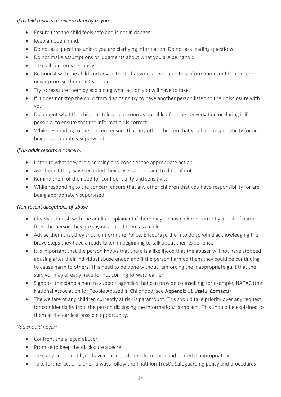#### *If a child reports a concern directly to you:*

- Ensure that the child feels safe and is not in danger.
- Keep an open mind.
- Do not ask questions unless you are clarifying information. Do not ask leading questions.
- Do not make assumptions or judgments about what you are being told.
- Take all concerns seriously.
- Be honest with the child and advise them that you cannot keep this information confidential, and never promise them that you can.
- Try to reassure them by explaining what action you will have to take.
- If it does not stop the child from disclosing try to have another person listen to their disclosure with you.
- Document what the child has told you as soon as possible after the conversation or during it if possible, to ensure that the information is correct.
- While responding to the concern ensure that any other children that you have responsibility for are being appropriately supervised.

#### *If an adult reports a concern:*

- Listen to what they are disclosing and consider the appropriate action
- Ask them if they have recorded their observations, and to do so if not
- Remind them of the need for confidentiality and sensitivity
- While responding to the concern ensure that any other children that you have responsibility for are being appropriately supervised.

#### *Non-recent allegations of abuse*

- Clearly establish with the adult complainant if there may be any children currently at risk of harm from the person they are saying abused them as a child
- Advise them that they should inform the Police. Encourage them to do so while acknowledging the brave steps they have already taken in beginning to talk about their experience
- It is important that the person knows that there is a likelihood that the abuser will not have stopped abusing after their individual abuse ended and if the person harmed them they could be continuing to cause harm to others. This need to be done without reinforcing the inappropriate guilt that the survivor may already have for not coming forward earlier
- Signpost the complainant to support agencies that can provide counselling, for example, NAPAC (the National Association for People Abused in Childhood, see Appendix 11 Useful Contacts)
- The welfare of any children currently at risk is paramount. This should take priority over any request for confidentiality from the person disclosing the information/ complaint. This should be explained to them at the earliest possible opportunity.

#### *You should never:*

- Confront the alleged abuser
- Promise to keep the disclosure a secret
- Take any action until you have considered the information and shared it appropriately
- Take further action alone always follow the Triathlon Trust's Safeguarding policy and procedures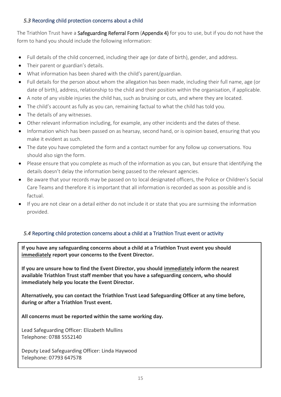#### *5.3* Recording child protection concerns about a child

The Triathlon Trust have a Safeguarding Referral Form (Appendix 4) for you to use, but if you do not have the form to hand you should include the following information:

- Full details of the child concerned, including their age (or date of birth), gender, and address.
- Their parent or guardian's details.
- What information has been shared with the child's parent/guardian.
- Full details for the person about whom the allegation has been made, including their full name, age (or date of birth), address, relationship to the child and their position within the organisation, if applicable.
- A note of any visible injuries the child has, such as bruising or cuts, and where they are located.
- The child's account as fully as you can, remaining factual to what the child has told you.
- The details of any witnesses.
- Other relevant information including, for example, any other incidents and the dates of these.
- Information which has been passed on as hearsay, second hand, or is opinion based, ensuring that you make it evident as such.
- The date you have completed the form and a contact number for any follow up conversations. You should also sign the form.
- Please ensure that you complete as much of the information as you can, but ensure that identifying the details doesn't delay the information being passed to the relevant agencies.
- Be aware that your records may be passed on to local designated officers, the Police or Children's Social Care Teams and therefore it is important that all information is recorded as soon as possible and is factual.
- If you are not clear on a detail either do not include it or state that you are surmising the information provided.

#### *5.4* Reporting child protection concerns about a child at a Triathlon Trust event or activity

**If you have any safeguarding concerns about a child at a Triathlon Trust event you should immediately report your concerns to the Event Director.**

**If you are unsure how to find the Event Director, you should immediately inform the nearest available Triathlon Trust staff member that you have a safeguarding concern, who should immediately help you locate the Event Director.**

**Alternatively, you can contact the Triathlon Trust Lead Safeguarding Officer at any time before, during or after a Triathlon Trust event.**

**All concerns must be reported within the same working day.**

Lead Safeguarding Officer: Elizabeth Mullins Telephone: 0788 5552140

Deputy Lead Safeguarding Officer: Linda Haywood Telephone: 07793 647578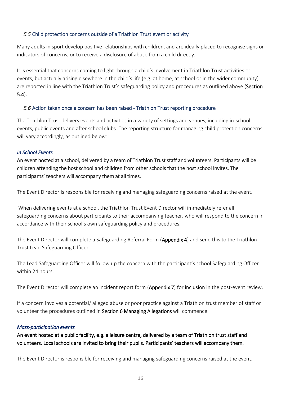#### *5.5* Child protection concerns outside of a Triathlon Trust event or activity

Many adults in sport develop positive relationships with children, and are ideally placed to [recognise signs or](https://thecpsu.org.uk/help-advice/introduction-to-safeguarding/child-abuse-in-a-sports-setting/)  [indicators of concerns,](https://thecpsu.org.uk/help-advice/introduction-to-safeguarding/child-abuse-in-a-sports-setting/) or to receive a disclosure of abuse from a child directly.

It is essential that concerns coming to light through a child's involvement in Triathlon Trust activities or events, but actually arising elsewhere in the child's life (e.g. at home, at school or in the wider community), are reported in line with the Triathlon Trust's [safeguarding policy and procedures](https://thecpsu.org.uk/help-advice/putting-safeguards-in-place/#PandP) as outlined above (Section 5.4).

#### *5.6* Action taken once a concern has been raised - Triathlon Trust reporting procedure

The Triathlon Trust delivers events and activities in a variety of settings and venues, including in-school events, public events and after school clubs. The reporting structure for managing child protection concerns will vary accordingly, as outlined below:

#### *In School Events*

An event hosted at a school, delivered by a team of Triathlon Trust staff and volunteers. Participants will be children attending the host school and children from other schools that the host school invites. The participants' teachers will accompany them at all times.

The Event Director is responsible for receiving and managing safeguarding concerns raised at the event.

When delivering events at a school, the Triathlon Trust Event Director will immediately refer all safeguarding concerns about participants to their accompanying teacher, who will respond to the concern in accordance with their school's own safeguarding policy and procedures.

The Event Director will complete a Safeguarding Referral Form (Appendix 4) and send this to the Triathlon Trust Lead Safeguarding Officer.

The Lead Safeguarding Officer will follow up the concern with the participant's school Safeguarding Officer within 24 hours.

The Event Director will complete an incident report form (Appendix 7) for inclusion in the post-event review.

If a concern involves a potential/ alleged abuse or poor practice against a Triathlon trust member of staff or volunteer the procedures outlined in Section 6 Managing Allegations will commence.

#### *Mass-participation events*

An event hosted at a public facility, e.g. a leisure centre, delivered by a team of Triathlon trust staff and volunteers. Local schools are invited to bring their pupils. Participants' teachers will accompany them.

The Event Director is responsible for receiving and managing safeguarding concerns raised at the event.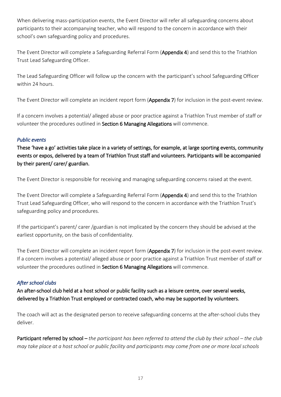When delivering mass-participation events, the Event Director will refer all safeguarding concerns about participants to their accompanying teacher, who will respond to the concern in accordance with their school's own safeguarding policy and procedures.

The Event Director will complete a Safeguarding Referral Form (Appendix 4) and send this to the Triathlon Trust Lead Safeguarding Officer.

The Lead Safeguarding Officer will follow up the concern with the participant's school Safeguarding Officer within 24 hours.

The Event Director will complete an incident report form (Appendix 7) for inclusion in the post-event review.

If a concern involves a potential/ alleged abuse or poor practice against a Triathlon Trust member of staff or volunteer the procedures outlined in Section 6 Managing Allegations will commence.

#### *Public events*

These 'have a go' activities take place in a variety of settings, for example, at large sporting events, community events or expos, delivered by a team of Triathlon Trust staff and volunteers. Participants will be accompanied by their parent/ carer/ guardian.

The Event Director is responsible for receiving and managing safeguarding concerns raised at the event.

The Event Director will complete a Safeguarding Referral Form (Appendix 4) and send this to the Triathlon Trust Lead Safeguarding Officer, who will respond to the concern in accordance with the Triathlon Trust's safeguarding policy and procedures.

If the participant's parent/ carer /guardian is not implicated by the concern they should be advised at the earliest opportunity, on the basis of confidentiality.

The Event Director will complete an incident report form (Appendix 7) for inclusion in the post-event review. If a concern involves a potential/ alleged abuse or poor practice against a Triathlon Trust member of staff or volunteer the procedures outlined in Section 6 Managing Allegations will commence.

#### *After school clubs*

An after-school club held at a host school or public facility such as a leisure centre, over several weeks, delivered by a Triathlon Trust employed or contracted coach, who may be supported by volunteers.

The coach will act as the designated person to receive safeguarding concerns at the after-school clubs they deliver.

Participant referred by school – *the participant has been referred to attend the club by their school – the club may take place at a host school or public facility and participants may come from one or more local schools*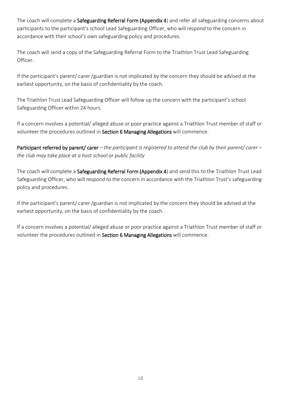The coach will complete a Safeguarding Referral Form (Appendix 4) and refer all safeguarding concerns about participants to the participant's school Lead Safeguarding Officer, who will respond to the concern in accordance with their school's own safeguarding policy and procedures.

The coach will send a copy of the Safeguarding Referral Form to the Triathlon Trust Lead Safeguarding Officer.

If the participant's parent/ carer /guardian is not implicated by the concern they should be advised at the earliest opportunity, on the basis of confidentiality by the coach.

The Triathlon Trust Lead Safeguarding Officer will follow up the concern with the participant's school Safeguarding Officer within 24 hours.

If a concern involves a potential/ alleged abuse or poor practice against a Triathlon Trust member of staff or volunteer the procedures outlined in Section 6 Managing Allegations will commence.

Participant referred by parent/ carer *– the participant is registered to attend the club by their parent/ carer – the club may take place at a host school or public facility* 

The coach will complete a Safeguarding Referral Form (Appendix 4) and send this to the Triathlon Trust Lead Safeguarding Officer, who will respond to the concern in accordance with the Triathlon Trust's safeguarding policy and procedures.

If the participant's parent/ carer /guardian is not implicated by the concern they should be advised at the earliest opportunity, on the basis of confidentiality by the coach.

If a concern involves a potential/ alleged abuse or poor practice against a Triathlon Trust member of staff or volunteer the procedures outlined in Section 6 Managing Allegations will commence.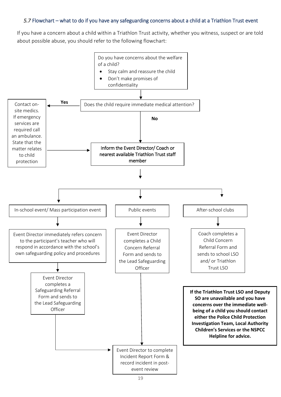#### *5.7* Flowchart – what to do if you have any safeguarding concerns about a child at a Triathlon Trust event

If you have a concern about a child within a Triathlon Trust activity, whether you witness, suspect or are told about possible abuse, you should refer to the following flowchart:

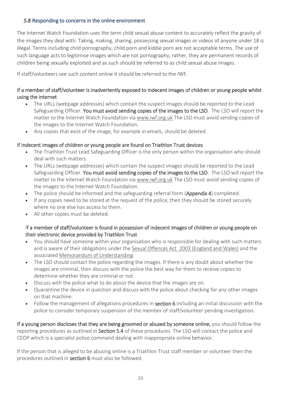#### *5.8* Responding to concerns in the online environment

The Internet Watch Foundation uses the term child sexual abuse content to accurately reflect the gravity of the images they deal with. Taking, making, sharing, possessing sexual images or videos of anyone under 18 is illegal. Terms including child pornography, child porn and kiddie porn are not acceptable terms. The use of such language acts to legitimise images which are not pornography, rather, they are permanent records of children being sexually exploited and as such should be referred to as child sexual abuse images.

If staff/volunteers see such content online it should be referred to the IWF.

#### If a member of staff/volunteer is inadvertently exposed to indecent images of children or young people whilst using the internet

- The URLs (webpage addresses) which contain the suspect images should be reported to the Lead Safeguarding Officer. You must avoid sending copies of the images to the LSO. The LSO will report the matter to the Internet Watch Foundation via [www.iwf.org.uk](https://www.iwf.org.uk/) The LSO must avoid sending copies of the images to the Internet Watch Foundation.
- Any copies that exist of the image, for example in emails, should be deleted.

#### If indecent images of children or young people are found on Triathlon Trust devices

- The Triathlon Trust Lead Safeguarding Officer is the only person within the organisation who should deal with such matters.
- The URLs (webpage addresses) which contain the suspect images should be reported to the Lead Safeguarding Officer. You must avoid sending copies of the images to the LSO. The LSO will report the matter to the Internet Watch Foundation via [www.iwf.org.uk](https://www.iwf.org.uk/) The LSO must avoid sending copies of the images to the Internet Watch Foundation.
- The police should be informed and the safeguarding referral form (Appendix 4) completed.
- If any copies need to be stored at the request of the police, then they should be stored securely where no one else has access to them.
- All other copies must be deleted.

#### If a member of staff/volunteer is found in possession of indecent images of children or young people on their electronic device provided by Triathlon Trust

- You should have someone within your organisation who is responsible for dealing with such matters and is aware of their obligations under the Sexual Offences Act [2003 \(England and Wales\)](https://www.iwf.org.uk/hotline/the-laws/child-sexual-abuse-content/sexual-offences-act-2003-soa-2003) and the associated [Memorandum of Understanding.](https://www.iwf.org.uk/hotline/the-laws/child-sexual-abuse-content/sexual-offences-act-2003-memorandum-of-understanding)
- The LSO should contact the police regarding the images. If there is any doubt about whether the images are criminal, then discuss with the police the best way for them to receive copies to determine whether they are criminal or not.
- Discuss with the police what to do about the device that the images are on.
- Quarantine the device in question and discuss with the police about checking for any other images on that machine.
- Follow the management of allegations procedures in **section 6** including an initial discussion with the police to consider temporary suspension of the member of staff/volunteer pending investigation.

If a young person discloses that they are being groomed or abused by someone online, you should follow the reporting procedures as outlined in Section 5.4 of these procedures. The LSO will contact the police and CEOP which is a specialist police command dealing with inappropriate online behavior.

If the person that is alleged to be abusing online is a Triathlon Trust staff member or volunteer then the procedures outlined in section 6 must also be followed.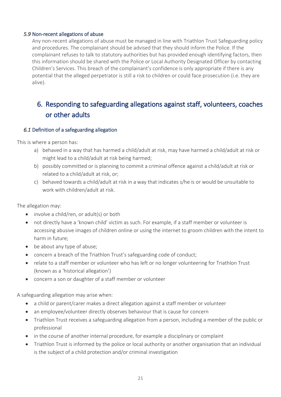#### *5.9* Non-recent allegations of abuse

Any non-recent allegations of abuse must be managed in line with Triathlon Trust Safeguarding policy and procedures. The complainant should be advised that they should inform the Police. If the complainant refuses to talk to statutory authorities but has provided enough identifying factors, then this information should be shared with the Police or Local Authority Designated Officer by contacting Children's Services. This breach of the complainant's confidence is only appropriate if there is any potential that the alleged perpetrator is still a risk to children or could face prosecution (i.e. they are alive).

# 6. Responding to safeguarding allegations against staff, volunteers, coaches or other adults

#### *6.1* Definition of a safeguarding allegation

This is where a person has:

- a) behaved in a way that has harmed a child/adult at risk, may have harmed a child/adult at risk or might lead to a child/adult at risk being harmed;
- b) possibly committed or is planning to commit a criminal offence against a child/adult at risk or related to a child/adult at risk, or;
- c) behaved towards a child/adult at risk in a way that indicates s/he is or would be unsuitable to work with children/adult at risk.

The allegation may:

- involve a child/ren, or adult(s) or both
- not directly have a 'known child' victim as such. For example, if a staff member or volunteer is accessing abusive images of children online or using the internet to groom children with the intent to harm in future;
- be about any type of abuse;
- concern a breach of the Triathlon Trust's safeguarding code of conduct;
- relate to a staff member or volunteer who has left or no longer volunteering for Triathlon Trust (known as a 'historical allegation')
- concern a son or daughter of a staff member or volunteer

A safeguarding allegation may arise when:

- a child or parent/carer makes a direct allegation against a staff member or volunteer
- an employee/volunteer directly observes behaviour that is cause for concern
- Triathlon Trust receives a safeguarding allegation from a person, including a member of the public or professional
- in the course of another internal procedure, for example a disciplinary or complaint
- Triathlon Trust is informed by the police or local authority or another organisation that an individual is the subject of a child protection and/or criminal investigation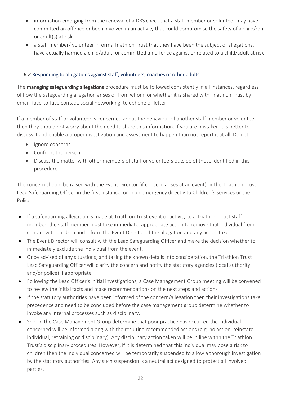- information emerging from the renewal of a DBS check that a staff member or volunteer may have committed an offence or been involved in an activity that could compromise the safety of a child/ren or adult(s) at risk
- a staff member/ volunteer informs Triathlon Trust that they have been the subject of allegations, have actually harmed a child/adult, or committed an offence against or related to a child/adult at risk

#### *6.2* Responding to allegations against staff, volunteers, coaches or other adults

The managing safeguarding allegations procedure must be followed consistently in all instances, regardless of how the safeguarding allegation arises or from whom, or whether it is shared with Triathlon Trust by email, face-to-face contact, social networking, telephone or letter.

If a member of staff or volunteer is concerned about the behaviour of another staff member or volunteer then they should not worry about the need to share this information. If you are mistaken it is better to discuss it and enable a proper investigation and assessment to happen than not report it at all. Do not:

- Ignore concerns
- Confront the person
- Discuss the matter with other members of staff or volunteers outside of those identified in this procedure

The concern should be raised with the Event Director (if concern arises at an event) or the Triathlon Trust Lead Safeguarding Officer in the first instance, or in an emergency directly to Children's Services or the Police.

- If a safeguarding allegation is made at Triathlon Trust event or activity to a Triathlon Trust staff member, the staff member must take immediate, appropriate action to remove that individual from contact with children and inform the Event Director of the allegation and any action taken
- The Event Director will consult with the Lead Safeguarding Officer and make the decision whether to immediately exclude the individual from the event.
- Once advised of any situations, and taking the known details into consideration, the Triathlon Trust Lead Safeguarding Officer will clarify the concern and notify the statutory agencies (local authority and/or police) if appropriate.
- Following the Lead Officer's initial investigations, a Case Management Group meeting will be convened to review the initial facts and make recommendations on the next steps and actions
- If the statutory authorities have been informed of the concern/allegation then their investigations take precedence and need to be concluded before the case management group determine whether to invoke any internal processes such as disciplinary.
- Should the Case Management Group determine that poor practice has occurred the individual concerned will be informed along with the resulting recommended actions (e.g. no action, reinstate individual, retraining or disciplinary). Any disciplinary action taken will be in line withn the Triathlon Trust's disciplinary procedures. However, if it is determined that this individual may pose a risk to children then the individual concerned will be temporarily suspended to allow a thorough investigation by the statutory authorities. Any such suspension is a neutral act designed to protect all involved parties.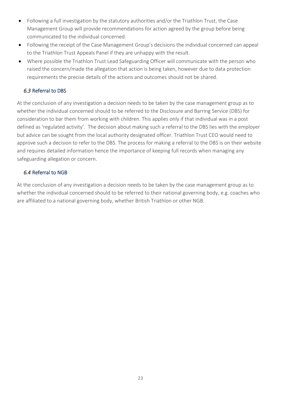- Following a full investigation by the statutory authorities and/or the Triathlon Trust, the Case Management Group will provide recommendations for action agreed by the group before being communicated to the individual concerned.
- Following the receipt of the Case Management Group's decisions the individual concerned can appeal to the Triathlon Trust Appeals Panel if they are unhappy with the result.
- Where possible the Triathlon Trust Lead Safeguarding Officer will communicate with the person who raised the concern/made the allegation that action is being taken, however due to data protection requirements the precise details of the actions and outcomes should not be shared.

#### *6.3* Referral to DBS

At the conclusion of any investigation a decision needs to be taken by the case management group as to whether the individual concerned should to be referred to the Disclosure and Barring Service (DBS) for consideration to bar them from working with children. This applies only if that individual was in a post defined as 'regulated activity'. The decision about making such a referral to the DBS lies with the employer but advice can be sought from the local authority designated officer. Triathlon Trust CEO would need to approve such a decision to refer to the DBS. The process for making a referral to the DBS is on their website and requires detailed information hence the importance of keeping full records when managing any safeguarding allegation or concern.

#### *6.4* Referral to NGB

At the conclusion of any investigation a decision needs to be taken by the case management group as to whether the individual concerned should to be referred to their national governing body, e.g. coaches who are affiliated to a national governing body, whether British Triathlon or other NGB.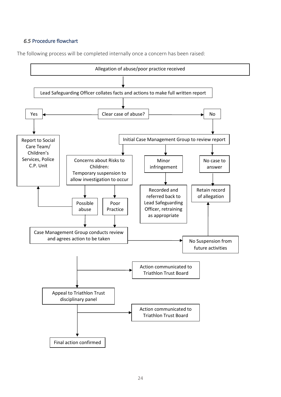#### *6.5* Procedure flowchart

The following process will be completed internally once a concern has been raised:

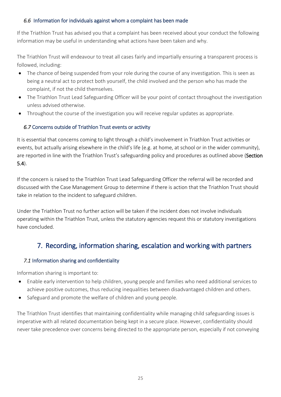#### *6.6* Information for individuals against whom a complaint has been made

If the Triathlon Trust has advised you that a complaint has been received about your conduct the following information may be useful in understanding what actions have been taken and why.

The Triathlon Trust will endeavour to treat all cases fairly and impartially ensuring a transparent process is followed, including:

- The chance of being suspended from your role during the course of any investigation. This is seen as being a neutral act to protect both yourself, the child involved and the person who has made the complaint, if not the child themselves.
- The Triathlon Trust Lead Safeguarding Officer will be your point of contact throughout the investigation unless advised otherwise.
- Throughout the course of the investigation you will receive regular updates as appropriate.

#### *6.7* Concerns outside of Triathlon Trust events or activity

It is essential that concerns coming to light through a child's involvement in Triathlon Trust activities or events, but actually arising elsewhere in the child's life (e.g. at home, at school or in the wider community), are reported in line with the Triathlon Trust's [safeguarding policy and procedures](https://thecpsu.org.uk/help-advice/putting-safeguards-in-place/#PandP) as outlined above (Section 5.4).

If the concern is raised to the Triathlon Trust Lead Safeguarding Officer the referral will be recorded and discussed with the Case Management Group to determine if there is action that the Triathlon Trust should take in relation to the incident to safeguard children.

Under the Triathlon Trust no further action will be taken if the incident does not involve individuals operating within the Triathlon Trust, unless the statutory agencies request this or statutory investigations have concluded.

# 7. Recording, information sharing, escalation and working with partners

#### *7.1* Information sharing and confidentiality

Information sharing is important to:

- Enable early intervention to help children, young people and families who need additional services to achieve positive outcomes, thus reducing inequalities between disadvantaged children and others.
- Safeguard and promote the welfare of children and young people.

The Triathlon Trust identifies that maintaining confidentiality while managing child safeguarding issues is imperative with all related documentation being kept in a secure place. However, confidentiality should never take precedence over concerns being directed to the appropriate person, especially if not conveying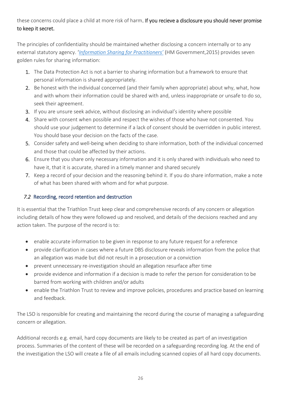#### these concerns could place a child at more risk of harm. If you recieve a disclosure you should never promise to keep it secret.

The principles of confidentiality should be maintained whether disclosing a concern internally or to any external statutory agency. '*[Information Sharing for Practitioners'](https://www.gov.uk/government/uploads/system/uploads/attachment_data/file/419628/Information_sharing_advice_safeguarding_practitioners.pdf)* (HM Government,2015) provides seven golden rules for sharing information:

- 1. The Data Protection Act is not a barrier to sharing information but a framework to ensure that personal information is shared appropriately.
- 2. Be honest with the individual concerned (and their family when appropriate) about why, what, how and with whom their information could be shared with and, unless inappropriate or unsafe to do so, seek their agreement.
- 3. If you are unsure seek advice, without disclosing an individual's identity where possible
- 4. Share with consent when possible and respect the wishes of those who have not consented. You should use your judgement to determine if a lack of consent should be overridden in public interest. You should base your decision on the facts of the case.
- 5. Consider safety and well-being when deciding to share information, both of the individual concerned and those that could be affected by their actions.
- 6. Ensure that you share only necessary information and it is only shared with individuals who need to have it, that it is accurate, shared in a timely manner and shared securely
- 7. Keep a record of your decision and the reasoning behind it. If you do share information, make a note of what has been shared with whom and for what purpose.

#### *7.2* Recording, record retention and destruction

It is essential that the Triathlon Trust keep clear and comprehensive records of any concern or allegation including details of how they were followed up and resolved, and details of the decisions reached and any action taken. The purpose of the record is to:

- enable accurate information to be given in response to any future request for a reference
- provide clarification in cases where a future DBS disclosure reveals information from the police that an allegation was made but did not result in a prosecution or a conviction
- prevent unnecessary re-investigation should an allegation resurface after time
- provide evidence and information if a decision is made to refer the person for consideration to be barred from working with children and/or adults
- enable the Triathlon Trust to review and improve policies, procedures and practice based on learning and feedback.

The LSO is responsible for creating and maintaining the record during the course of managing a safeguarding concern or allegation.

Additional records e.g. email, hard copy documents are likely to be created as part of an investigation process. Summaries of the content of these will be recorded on a safeguarding recording log. At the end of the investigation the LSO will create a file of all emails including scanned copies of all hard copy documents.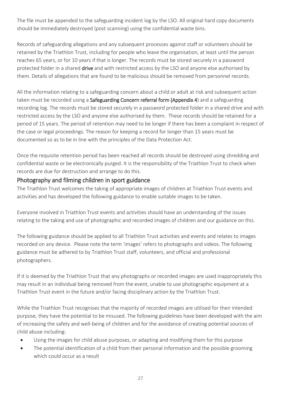The file must be appended to the safeguarding incident log by the LSO. All original hard copy documents should be immediately destroyed (post scanning) using the confidential waste bins.

Records of safeguarding allegations and any subsequent processes against staff or volunteers should be retained by the Triathlon Trust, including for people who leave the organisation, at least until the person reaches 65 years, or for 10 years if that is longer. The records must be stored securely in a password protected folder in a shared drive and with restricted access by the LSO and anyone else authorised by them. Details of allegations that are found to be malicious should be removed from personnel records.

All the information relating to a safeguarding concern about a child or adult at risk and subsequent action taken must be recorded using a Safeguarding Concern referral form (Appendix 4) and a safeguarding recording log. The records must be stored securely in a password protected folder in a shared drive and with restricted access by the LSO and anyone else authorised by them. These records should be retained for a period of 15 years. The period of retention may need to be longer if there has been a complaint in respect of the case or legal proceedings. The reason for keeping a record for longer than 15 years must be documented so as to be in line with the principles of the Data Protection Act.

Once the requisite retention period has been reached all records should be destroyed using shredding and confidential waste or be electronically purged. It is the responsibility of the Triathlon Trust to check when records are due for destruction and arrange to do this.

#### Photography and filming children in sport guidance

The Triathlon Trust welcomes the taking of appropriate images of children at Triathlon Trust events and activities and has developed the following guidance to enable suitable images to be taken.

Everyone involved in Triathlon Trust events and activities should have an understanding of the issues relating to the taking and use of photographic and recorded images of children and our guidance on this.

The following guidance should be applied to all Triathlon Trust activities and events and relates to images recorded on any device. Please note the term 'images' refers to photographs and videos. The following guidance must be adhered to by Triathlon Trust staff, volunteers, and official and professional photographers.

If it is deemed by the Triathlon Trust that any photographs or recorded images are used inappropriately this may result in an individual being removed from the event, unable to use photographic equipment at a Triathlon Trust event in the future and/or facing disciplinary action by the Triathlon Trust.

While the Triathlon Trust recognises that the majority of recorded images are utilised for their intended purpose, they have the potential to be misused. The following guidelines have been developed with the aim of increasing the safety and well-being of children and for the avoidance of creating potential sources of child abuse including:

- Using the images for child abuse purposes, or adapting and modifying them for this purpose
- The potential identification of a child from their personal information and the possible grooming which could occur as a result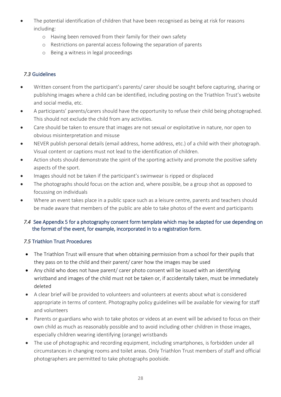- The potential identification of children that have been recognised as being at risk for reasons including:
	- o Having been removed from their family for their own safety
	- o Restrictions on parental access following the separation of parents
	- o Being a witness in legal proceedings

#### *7.3* Guidelines

- Written consent from the participant's parents/ carer should be sought before capturing, sharing or publishing images where a child can be identified, including posting on the Triathlon Trust's website and social media, etc.
- A participants' parents/carers should have the opportunity to refuse their child being photographed. This should not exclude the child from any activities.
- Care should be taken to ensure that images are not sexual or exploitative in nature, nor open to obvious misinterpretation and misuse
- NEVER publish personal details (email address, home address, etc.) of a child with their photograph. Visual content or captions must not lead to the identification of children.
- Action shots should demonstrate the spirit of the sporting activity and promote the positive safety aspects of the sport.
- Images should not be taken if the participant's swimwear is ripped or displaced
- The photographs should focus on the action and, where possible, be a group shot as opposed to focussing on individuals
- Where an event takes place in a public space such as a leisure centre, parents and teachers should be made aware that members of the public are able to take photos of the event and participants

#### *7.4* See Appendix 5 for a photography consent form template which may be adapted for use depending on the format of the event, for example, incorporated in to a registration form.

#### *7.5* Triathlon Trust Procedures

- The Triathlon Trust will ensure that when obtaining permission from a school for their pupils that they pass on to the child and their parent/ carer how the images may be used
- Any child who does not have parent/ carer photo consent will be issued with an identifying wristband and images of the child must not be taken or, if accidentally taken, must be immediately deleted
- A clear brief will be provided to volunteers and volunteers at events about what is considered appropriate in terms of content. Photography policy guidelines will be available for viewing for staff and volunteers
- Parents or guardians who wish to take photos or videos at an event will be advised to focus on their own child as much as reasonably possible and to avoid including other children in those images, especially children wearing identifying (orange) wristbands
- The use of photographic and recording equipment, including smartphones, is forbidden under all circumstances in changing rooms and toilet areas. Only Triathlon Trust members of staff and official photographers are permitted to take photographs poolside.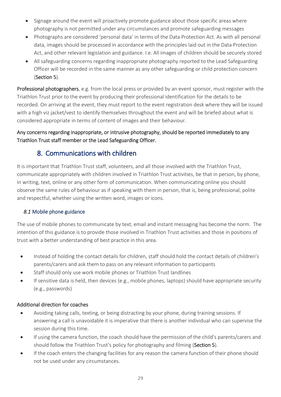- Signage around the event will proactively promote guidance about those specific areas where photography is not permitted under any circumstances and promote safeguarding messages
- Photographs are considered 'personal data' in terms of the Data Protection Act. As with all personal data, images should be processed in accordance with the principles laid out in the Data Protection Act, and other relevant legislation and guidance. I.e. All images of children should be securely stored
- All safeguarding concerns regarding inappropriate photography reported to the Lead Safeguarding Officer will be recorded in the same manner as any other safeguarding or child protection concern (Section 5).

Professional photographers, e.g. from the local press or provided by an event sponsor, must register with the Triathlon Trust prior to the event by producing their professional identification for the details to be recorded. On arriving at the event, they must report to the event registration desk where they will be issued with a high viz jacket/vest to identify themselves throughout the event and will be briefed about what is considered appropriate in terms of content of images and their behaviour.

#### Any concerns regarding inappropriate, or intrusive photography, should be reported immediately to any Triathlon Trust staff member or the Lead Safeguarding Officer.

# 8. Communications with children

It is important that Triathlon Trust staff, volunteers, and all those involved with the Triathlon Trust, communicate appropriately with children involved in Triathlon Trust activities, be that in person, by phone, in writing, text, online or any other form of communication. When communicating online you should observe the same rules of behaviour as if speaking with them in person, that is, being professional, polite and respectful, whether using the written word, images or icons.

#### *8.1* Mobile phone guidance

The use of mobile phones to communicate by text, email and instant messaging has become the norm. The intention of this guidance is to provide those involved in Triathlon Trust activities and those in positions of trust with a better understanding of best practice in this area.

- Instead of holding the contact details for children, staff should hold the contact details of children's parents/carers and ask them to pass on any relevant information to participants
- Staff should only use work mobile phones or Triathlon Trust landlines
- If sensitive data is held, then devices (e.g., mobile phones, laptops) should have appropriate security (e.g., passwords)

#### Additional direction for coaches

- Avoiding taking calls, texting, or being distracting by your phone, during training sessions. If answering a call is unavoidable it is imperative that there is another individual who can supervise the session during this time.
- If using the camera function, the coach should have the permission of the child's parents/carers and should follow the Triathlon Trust's policy for photography and filming (Section 5).
- If the coach enters the changing facilities for any reason the camera function of their phone should not be used under any circumstances.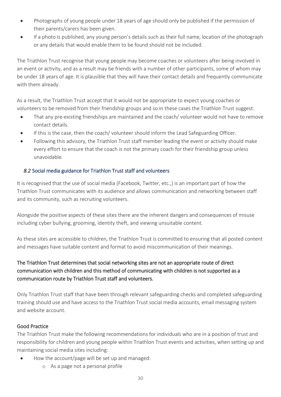- Photographs of young people under 18 years of age should only be published if the permission of their parents/carers has been given.
- If a photo is published, any young person's details such as their full name, location of the photograph or any details that would enable them to be found should not be included.

The Triathlon Trust recognise that young people may become coaches or volunteers after being involved in an event or activity, and as a result may be friends with a number of other participants, some of whom may be under 18 years of age. It is plausible that they will have their contact details and frequently communicate with them already.

As a result, the Triathlon Trust accept that it would not be appropriate to expect young coaches or volunteers to be removed from their friendship groups and so in these cases the Triathlon Trust suggest:

- That any pre-existing friendships are maintained and the coach/ volunteer would not have to remove contact details.
- If this is the case, then the coach/ volunteer should inform the Lead Safeguarding Officer.
- Following this advisory, the Triathlon Trust staff member leading the event or activity should make every effort to ensure that the coach is not the primary coach for their friendship group unless unavoidable.

#### *8.2* Social media guidance for Triathlon Trust staff and volunteers

It is recognised that the use of social media (Facebook, Twitter, etc.,) is an important part of how the Triathlon Trust communicates with its audience and allows communication and networking between staff and its community, such as recruiting volunteers.

Alongside the positive aspects of these sites there are the inherent dangers and consequences of misuse including cyber bullying, grooming, identity theft, and viewing unsuitable content.

As these sites are accessible to children, the Triathlon Trust is committed to ensuring that all posted content and messages have suitable content and format to avoid miscommunication of their meanings.

#### The Triathlon Trust determines that social networking sites are not an appropriate route of direct communication with children and this method of communicating with children is not supported as a communication route by Triathlon Trust staff and volunteers.

Only Triathlon Trust staff that have been through relevant safeguarding checks and completed safeguarding training should use and have access to the Triathlon Trust social media accounts, email messaging system and website account.

#### Good Practice

The Triathlon Trust make the following recommendations for individuals who are in a position of trust and responsibility for children and young people within Triathlon Trust events and activities, when setting up and maintaining social media sites including:

- How the account/page will be set up and managed:
	- o As a page not a personal profile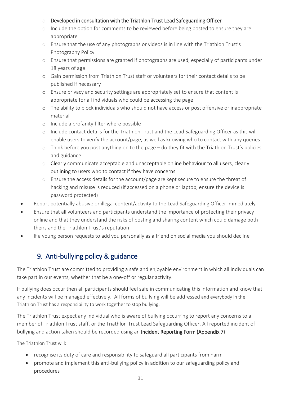#### o Developed in consultation with the Triathlon Trust Lead Safeguarding Officer

- o Include the option for comments to be reviewed before being posted to ensure they are appropriate
- o Ensure that the use of any photographs or videos is in line with the Triathlon Trust's Photography Policy.
- o Ensure that permissions are granted if photographs are used, especially of participants under 18 years of age
- o Gain permission from Triathlon Trust staff or volunteers for their contact details to be published if necessary
- o Ensure privacy and security settings are appropriately set to ensure that content is appropriate for all individuals who could be accessing the page
- o The ability to block individuals who should not have access or post offensive or inappropriate material
- o Include a profanity filter where possible
- o Include contact details for the Triathlon Trust and the Lead Safeguarding Officer as this will enable users to verify the account/page, as well as knowing who to contact with any queries
- o Think before you post anything on to the page do they fit with the Triathlon Trust's policies and guidance
- o Clearly communicate acceptable and unacceptable online behaviour to all users, clearly outlining to users who to contact if they have concerns
- o Ensure the access details for the account/page are kept secure to ensure the threat of hacking and misuse is reduced (if accessed on a phone or laptop, ensure the device is password protected)
- Report potentially abusive or illegal content/activity to the Lead Safeguarding Officer immediately
- Ensure that all volunteers and participants understand the importance of protecting their privacy online and that they understand the risks of posting and sharing content which could damage both theirs and the Triathlon Trust's reputation
- If a young person requests to add you personally as a friend on social media you should decline

# 9. Anti-bullying policy & guidance

The Triathlon Trust are committed to providing a safe and enjoyable environment in which all individuals can take part in our events, whether that be a one-off or regular activity.

If bullying does occur then all participants should feel safe in communicating this information and know that any incidents will be managed effectively. All forms of bullying will be addressed and everybody in the Triathlon Trust has a responsibility to work together to stop bullying.

The Triathlon Trust expect any individual who is aware of bullying occurring to report any concerns to a member of Triathlon Trust staff, or the Triathlon Trust Lead Safeguarding Officer. All reported incident of bullying and action taken should be recorded using an Incident Reporting Form (Appendix 7)

The Triathlon Trust will:

- recognise its duty of care and responsibility to safeguard all participants from harm
- promote and implement this anti-bullying policy in addition to our safeguarding policy and procedures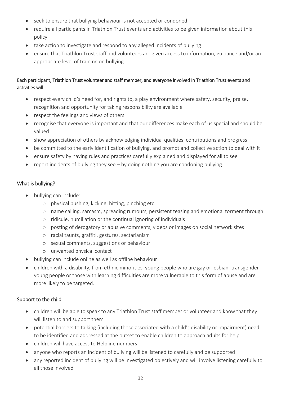- seek to ensure that bullying behaviour is not accepted or condoned
- require all participants in Triathlon Trust events and activities to be given information about this policy
- take action to investigate and respond to any alleged incidents of bullying
- ensure that Triathlon Trust staff and volunteers are given access to information, guidance and/or an appropriate level of training on bullying.

#### Each participant, Triathlon Trust volunteer and staff member, and everyone involved in Triathlon Trust events and activities will:

- respect every child's need for, and rights to, a play environment where safety, security, praise, recognition and opportunity for taking responsibility are available
- respect the feelings and views of others
- recognise that everyone is important and that our differences make each of us special and should be valued
- show appreciation of others by acknowledging individual qualities, contributions and progress
- be committed to the early identification of bullying, and prompt and collective action to deal with it
- ensure safety by having rules and practices carefully explained and displayed for all to see
- report incidents of bullying they see by doing nothing you are condoning bullying.

#### What is bullying?

- bullying can include:
	- o physical pushing, kicking, hitting, pinching etc.
	- o name calling, sarcasm, spreading rumours, persistent teasing and emotional torment through
	- o ridicule, humiliation or the continual ignoring of individuals
	- o posting of derogatory or abusive comments, videos or images on social network sites
	- o racial taunts, graffiti, gestures, sectarianism
	- o sexual comments, suggestions or behaviour
	- o unwanted physical contact
- bullying can include online as well as offline behaviour
- children with a disability, from ethnic minorities, young people who are gay or lesbian, transgender young people or those with learning difficulties are more vulnerable to this form of abuse and are more likely to be targeted.

#### Support to the child

- children will be able to speak to any Triathlon Trust staff member or volunteer and know that they will listen to and support them
- potential barriers to talking (including those associated with a child's disability or impairment) need to be identified and addressed at the outset to enable children to approach adults for help
- children will have access to Helpline numbers
- anyone who reports an incident of bullying will be listened to carefully and be supported
- any reported incident of bullying will be investigated objectively and will involve listening carefully to all those involved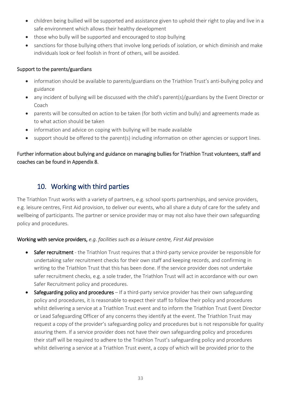- children being bullied will be supported and assistance given to uphold their right to play and live in a safe environment which allows their healthy development
- those who bully will be supported and encouraged to stop bullying
- sanctions for those bullying others that involve long periods of isolation, or which diminish and make individuals look or feel foolish in front of others, will be avoided.

#### Support to the parents/guardians

- information should be available to parents/guardians on the Triathlon Trust's anti-bullying policy and guidance
- any incident of bullying will be discussed with the child's parent(s)/guardians by the Event Director or Coach
- parents will be consulted on action to be taken (for both victim and bully) and agreements made as to what action should be taken
- information and advice on coping with bullying will be made available
- support should be offered to the parent(s) including information on other agencies or support lines.

#### Further information about bullying and guidance on managing bullies for Triathlon Trust volunteers, staff and coaches can be found in Appendix 8.

# 10. Working with third parties

The Triathlon Trust works with a variety of partners, e.g. school sports partnerships, and service providers, e.g. leisure centres, First Aid provision, to deliver our events, who all share a duty of care for the safety and wellbeing of participants. The partner or service provider may or may not also have their own safeguarding policy and procedures.

#### Working with service providers, *e.g. facilities such as a leisure centre, First Aid provision*

- Safer recruitment the Triathlon Trust requires that a third-party service provider be responsible for undertaking safer recruitment checks for their own staff and keeping records, and confirming in writing to the Triathlon Trust that this has been done. If the service provider does not undertake safer recruitment checks, e.g. a sole trader, the Triathlon Trust will act in accordance with our own Safer Recruitment policy and procedures.
- Safeguarding policy and procedures If a third-party service provider has their own safeguarding policy and procedures, it is reasonable to expect their staff to follow their policy and procedures whilst delivering a service at a Triathlon Trust event and to inform the Triathlon Trust Event Director or Lead Safeguarding Officer of any concerns they identify at the event. The Triathlon Trust may request a copy of the provider's safeguarding policy and procedures but is not responsible for quality assuring them. If a service provider does not have their own safeguarding policy and procedures their staff will be required to adhere to the Triathlon Trust's safeguarding policy and procedures whilst delivering a service at a Triathlon Trust event, a copy of which will be provided prior to the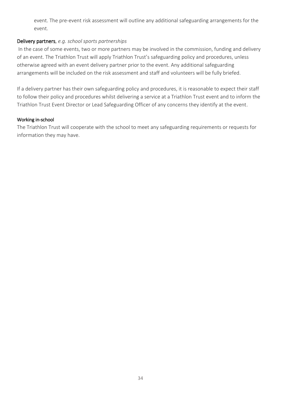event. The pre-event risk assessment will outline any additional safeguarding arrangements for the event.

#### Delivery partners, *e.g. school sports partnerships*

In the case of some events, two or more partners may be involved in the commission, funding and delivery of an event. The Triathlon Trust will apply Triathlon Trust's safeguarding policy and procedures, unless otherwise agreed with an event delivery partner prior to the event. Any additional safeguarding arrangements will be included on the risk assessment and staff and volunteers will be fully briefed.

If a delivery partner has their own safeguarding policy and procedures, it is reasonable to expect their staff to follow their policy and procedures whilst delivering a service at a Triathlon Trust event and to inform the Triathlon Trust Event Director or Lead Safeguarding Officer of any concerns they identify at the event.

#### Working in-school

The Triathlon Trust will cooperate with the school to meet any safeguarding requirements or requests for information they may have.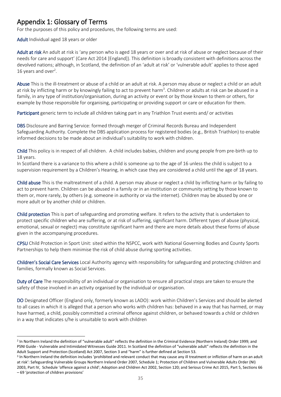# Appendix 1: Glossary of Terms

For the purposes of this policy and procedures, the following terms are used:

Adult Individual aged 18 years or older

**.** 

Adult at risk An adult at risk is 'any person who is aged 18 years or over and at risk of abuse or neglect because of their needs for care and support' (Care Act 2014 [England]). This definition is broadly consistent with definitions across the devolved nations; although, in Scotland, the definition of an 'adult at risk' or 'vulnerable adult' applies to those aged 16 years and over<sup>2</sup>.

Abuse This is the ill-treatment or abuse of a child or an adult at risk. A person may abuse or neglect a child or an adult at risk by inflicting harm or by knowingly failing to act to prevent harm<sup>3</sup>. Children or adults at risk can be abused in a family, in any type of institution/organisation, during an activity or event or by those known to them or others, for example by those responsible for organising, participating or providing support or care or education for them.

Participant generic term to include all children taking part in any Triathlon Trust events and/ or activities

DBS Disclosure and Barring Service: formed through merger of Criminal Records Bureau and Independent Safeguarding Authority. Complete the DBS application process for registered bodies (e.g., British Triathlon) to enable informed decisions to be made about an individual's suitability to work with children.

Child This policy is in respect of all children. A child includes babies, children and young people from pre-birth up to 18 years.

In Scotland there is a variance to this where a child is someone up to the age of 16 unless the child is subject to a supervision requirement by a Children's Hearing, in which case they are considered a child until the age of 18 years.

Child abuse This is the maltreatment of a child. A person may abuse or neglect a child by inflicting harm or by failing to act to prevent harm. Children can be abused in a family or in an institution or community setting by those known to them or, more rarely, by others (e.g. someone in authority or via the internet). Children may be abused by one or more adult or by another child or children.

Child protection This is part of safeguarding and promoting welfare. It refers to the activity that is undertaken to protect specific children who are suffering, or at risk of suffering, significant harm. Different types of abuse (physical, emotional, sexual or neglect) may constitute significant harm and there are more details about these forms of abuse given in the accompanying procedures.

CPSU Child Protection in Sport Unit: sited within the NSPCC, work with National Governing Bodies and County Sports Partnerships to help them minimise the risk of child abuse during sporting activities.

Children's Social Care Services Local Authority agency with responsibility for safeguarding and protecting children and families, formally known as Social Services.

Duty of Care The responsibility of an individual or organisation to ensure all practical steps are taken to ensure the safety of those involved in an activity organised by the individual or organisation.

DO Designated Officer (England only, formerly known as LADO): work within Children's Services and should be alerted to all cases in which it is alleged that a person who works with children has: behaved in a way that has harmed, or may have harmed, a child, possibly committed a criminal offence against children, or behaved towards a child or children in a way that indicates s/he is unsuitable to work with children

<sup>2</sup> In Northern Ireland the definition of "vulnerable adult" reflects the definition in the Criminal Evidence (Northern Ireland) Order 1999; and PSNI Guide - Vulnerable and Intimidated Witnesses Guide 2011. In Scotland the definition of "vulnerable adult" reflects the definition in the Adult Support and Protection (Scotland) Act 2007, Section 3 and "harm" is further defined at Section 53.

<sup>3</sup> In Northern Ireland the definition includes 'prohibited and relevant conduct that may cause any ill treatment or infliction of harm on an adult at risk': Safeguarding Vulnerable Groups Northern Ireland Order 2007, Schedule 1; Protection of Children and Vulnerable Adults Order (NI) 2003, Part IV, Schedule 'offence against a child'; Adoption and Children Act 2002, Section 120; and Serious Crime Act 2015, Part 5, Sections 66 – 69 'protection of children provisions'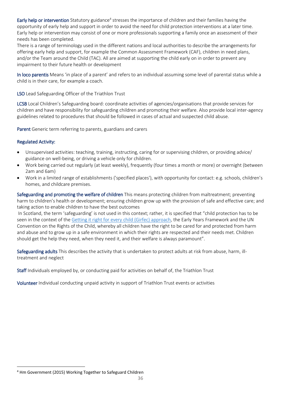Early help or intervention Statutory guidance<sup>4</sup> stresses the importance of children and their families having the opportunity of early help and support in order to avoid the need for child protection interventions at a later time. Early help or intervention may consist of one or more professionals supporting a family once an assessment of their needs has been completed.

There is a range of terminology used in the different nations and local authorities to describe the arrangements for offering early help and support, for example the Common Assessment Framework (CAF), children in need plans, and/or the Team around the Child (TAC). All are aimed at supporting the child early on in order to prevent any impairment to their future health or development

In loco parentis Means 'in place of a parent' and refers to an individual assuming some level of parental status while a child is in their care, for example a coach.

LSO Lead Safeguarding Officer of the Triathlon Trust

LCSB Local Children's Safeguarding board: coordinate activities of agencies/organisations that provide services for children and have responsibility for safeguarding children and promoting their welfare. Also provide local inter-agency guidelines related to procedures that should be followed in cases of actual and suspected child abuse.

Parent Generic term referring to parents, guardians and carers

#### Regulated Activity:

- Unsupervised activities: teaching, training, instructing, caring for or supervising children, or providing advice/ guidance on well-being, or driving a vehicle only for children.
- Work being carried out regularly (at least weekly), frequently (four times a month or more) or overnight (between 2am and 6am)
- Work in a limited range of establishments ('specified places'), with opportunity for contact: e.g. schools, children's homes, and childcare premises.

Safeguarding and promoting the welfare of children This means protecting children from maltreatment; preventing harm to children's health or development; ensuring children grow up with the provision of safe and effective care; and taking action to enable children to have the best outcomes

In Scotland, the term 'safeguarding' is not used in this context; rather, it is specified that "child protection has to be seen in the context of the [Getting it right for every](http://www.gov.scot/Topics/People/Young-People/gettingitright) child (Girfec) approach, the Early Years Framework and the UN Convention on the Rights of the Child, whereby all children have the right to be cared for and protected from harm and abuse and to grow up in a safe environment in which their rights are respected and their needs met. Children should get the help they need, when they need it, and their welfare is always paramount".

Safeguarding adults This describes the activity that is undertaken to protect adults at risk from abuse, harm, illtreatment and neglect

Staff Individuals employed by, or conducting paid for activities on behalf of, the Triathlon Trust

Volunteer Individual conducting unpaid activity in support of Triathlon Trust events or activities

**<sup>.</sup>** <sup>4</sup> Hm Government (2015) Working Together to Safeguard Children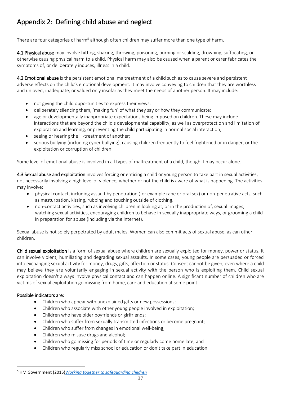# Appendix 2*:* Defining child abuse and neglect

There are four categories of harm<sup>5</sup> although often children may suffer more than one type of harm.

4.1 Physical abuse may involve hitting, shaking, throwing, poisoning, burning or scalding, drowning, suffocating, or otherwise causing physical harm to a child. Physical harm may also be caused when a parent or carer fabricates the symptoms of, or deliberately induces, illness in a child.

4.2 Emotional abuse is the persistent emotional maltreatment of a child such as to cause severe and persistent adverse effects on the child's emotional development. It may involve conveying to children that they are worthless and unloved, inadequate, or valued only insofar as they meet the needs of another person. It may include:

- not giving the child opportunities to express their views;
- deliberately silencing them, 'making fun' of what they say or how they communicate;
- age or developmentally inappropriate expectations being imposed on children. These may include interactions that are beyond the child's developmental capability, as well as overprotection and limitation of exploration and learning, or preventing the child participating in normal social interaction;
- seeing or hearing the ill-treatment of another;
- serious bullying (including cyber bullying), causing children frequently to feel frightened or in danger, or the exploitation or corruption of children.

Some level of emotional abuse is involved in all types of maltreatment of a child, though it may occur alone.

4.3 Sexual abuse and exploitation involves forcing or enticing a child or young person to take part in sexual activities, not necessarily involving a high level of violence, whether or not the child is aware of what is happening. The activities may involve:

- physical contact, including assault by penetration (for example rape or oral sex) or non-penetrative acts, such as masturbation, kissing, rubbing and touching outside of clothing.
- non-contact activities, such as involving children in looking at, or in the production of, sexual images, watching sexual activities, encouraging children to behave in sexually inappropriate ways, or grooming a child in preparation for abuse (including via the internet).

Sexual abuse is not solely perpetrated by adult males. Women can also commit acts of sexual abuse, as can other children.

Child sexual exploitation is a form of sexual abuse where children are sexually exploited for money, power or status. It can involve violent, humiliating and degrading sexual assaults. In some cases, young people are persuaded or forced into exchanging sexual activity for money, drugs, gifts, affection or status. Consent cannot be given, even where a child may believe they are voluntarily engaging in sexual activity with the person who is exploiting them. Child sexual exploitation doesn't always involve physical contact and can happen online. A significant number of children who are victims of sexual exploitation go missing from home, care and education at some point.

#### Possible indicators are:

**.** 

- Children who appear with unexplained gifts or new possessions;
- Children who associate with other young people involved in exploitation;
- Children who have older boyfriends or girlfriends;
- Children who suffer from sexually transmitted infections or become pregnant;
- Children who suffer from changes in emotional well-being;
- Children who misuse drugs and alcohol;
- Children who go missing for periods of time or regularly come home late; and
- Children who regularly miss school or education or don't take part in education.

<sup>5</sup> HM Government (2015)*[Working together to safeguarding children](http://www.workingtogetheronline.co.uk/)*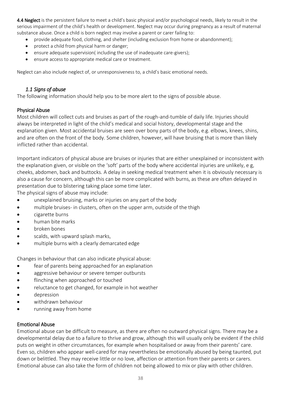4.4 Neglect is the persistent failure to meet a child's basic physical and/or psychological needs, likely to result in the serious impairment of the child's health or development. Neglect may occur during pregnancy as a result of maternal substance abuse. Once a child is born neglect may involve a parent or carer failing to:

- provide adequate food, clothing, and shelter (including exclusion from home or abandonment);
- protect a child from physical harm or danger;
- ensure adequate supervision(including the use of inadequate care-givers);
- ensure access to appropriate medical care or treatment.

Neglect can also include neglect of, or unresponsiveness to, a child's basic emotional needs.

#### *1.1 Signs of abuse*

The following information should help you to be more alert to the signs of possible abuse.

#### Physical Abuse

Most children will collect cuts and bruises as part of the rough-and-tumble of daily life. Injuries should always be interpreted in light of the child's medical and social history, developmental stage and the explanation given. Most accidental bruises are seen over bony parts of the body, e.g. elbows, knees, shins, and are often on the front of the body. Some children, however, will have bruising that is more than likely inflicted rather than accidental.

Important indicators of physical abuse are bruises or injuries that are either unexplained or inconsistent with the explanation given, or visible on the 'soft' parts of the body where accidental injuries are unlikely, e g, cheeks, abdomen, back and buttocks. A delay in seeking medical treatment when it is obviously necessary is also a cause for concern, although this can be more complicated with burns, as these are often delayed in presentation due to blistering taking place some time later.

The physical signs of abuse may include:

- unexplained bruising, marks or injuries on any part of the body
- multiple bruises- in clusters, often on the upper arm, outside of the thigh
- cigarette burns
- human bite marks
- broken bones
- scalds, with upward splash marks,
- multiple burns with a clearly demarcated edge

Changes in behaviour that can also indicate physical abuse:

- fear of parents being approached for an explanation
- aggressive behaviour or severe temper outbursts
- flinching when approached or touched
- reluctance to get changed, for example in hot weather
- depression
- withdrawn behaviour
- running away from home

#### Emotional Abuse

Emotional abuse can be difficult to measure, as there are often no outward physical signs. There may be a developmental delay due to a failure to thrive and grow, although this will usually only be evident if the child puts on weight in other circumstances, for example when hospitalised or away from their parents' care. Even so, children who appear well-cared for may nevertheless be emotionally abused by being taunted, put down or belittled. They may receive little or no love, affection or attention from their parents or carers. Emotional abuse can also take the form of children not being allowed to mix or play with other children.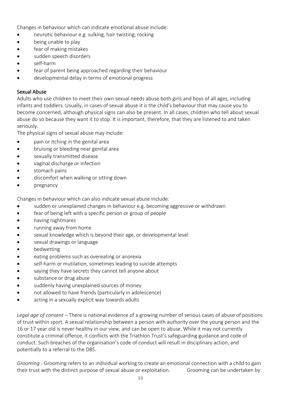Changes in behaviour which can indicate emotional abuse include:

- neurotic behaviour e.g. sulking, hair twisting, rocking
- being unable to play
- fear of making mistakes
- sudden speech disorders
- self-harm
- fear of parent being approached regarding their behaviour
- developmental delay in terms of emotional progress

#### Sexual Abuse

Adults who use children to meet their own sexual needs abuse both girls and boys of all ages, including infants and toddlers. Usually, in cases of sexual abuse it is the child's behaviour that may cause you to become concerned, although physical signs can also be present. In all cases, children who tell about sexual abuse do so because they want it to stop. It is important, therefore, that they are listened to and taken seriously.

The physical signs of sexual abuse may include:

- pain or itching in the genital area
- bruising or bleeding near genital area
- sexually transmitted disease
- vaginal discharge or infection
- stomach pains
- discomfort when walking or sitting down
- pregnancy

Changes in behaviour which can also indicate sexual abuse include:

- sudden or unexplained changes in behaviour e.g. becoming aggressive or withdrawn
- fear of being left with a specific person or group of people
- having nightmares
- running away from home
- sexual knowledge which is beyond their age, or developmental level
- sexual drawings or language
- bedwetting
- eating problems such as overeating or anorexia
- self-harm or mutilation, sometimes leading to suicide attempts
- saying they have secrets they cannot tell anyone about
- substance or drug abuse
- suddenly having unexplained sources of money
- not allowed to have friends (particularly in adolescence)
- acting in a sexually explicit way towards adults

*Legal age of consent* – There is national evidence of a growing number of serious cases of abuse of positions of trust within sport. A sexual relationship between a person with authority over the young person and the 16 or 17 year old is never healthy in our view, and can be open to abuse. While it may not currently constitute a criminal offence, it conflicts with the Triathlon Trust's safeguarding guidance and code of conduct. Such breaches of the organisation's code of conduct will result in disciplinary action, and potentially to a referral to the DBS.

*Grooming* - Grooming refers to an individual working to create an emotional connection with a child to gain their trust with the distinct purpose of sexual abuse or exploitation. Grooming can be undertaken by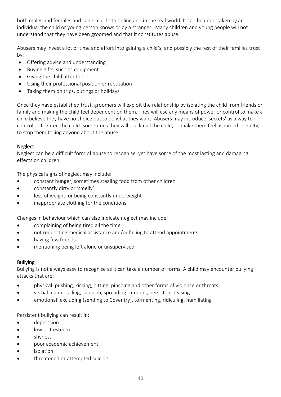both males and females and can occur both online and in the real world. It can be undertaken by an individual the child or young person knows or by a stranger. Many children and young people will not understand that they have been groomed and that it constitutes abuse.

Abusers may invest a lot of time and effort into gaining a child's, and possibly the rest of their families trust by:

- Offering advice and understanding
- Buying gifts, such as equipment
- Giving the child attention
- Using their professional position or reputation
- Taking them on trips, outings or holidays

Once they have established trust, groomers will exploit the relationship by isolating the child from friends or family and making the child feel dependent on them. They will use any means of power or control to make a child believe they have no choice but to do what they want. Abusers may introduce 'secrets' as a way to control or frighten the child. Sometimes they will blackmail the child, or make them feel ashamed or guilty, to stop them telling anyone about the abuse.

#### Neglect

Neglect can be a difficult form of abuse to recognise, yet have some of the most lasting and damaging effects on children.

The physical signs of neglect may include:

- constant hunger, sometimes stealing food from other children
- constantly dirty or 'smelly'
- loss of weight, or being constantly underweight
- inappropriate clothing for the conditions

Changes in behaviour which can also indicate neglect may include:

- complaining of being tired all the time
- not requesting medical assistance and/or failing to attend appointments
- having few friends
- mentioning being left alone or unsupervised.

#### Bullying

Bullying is not always easy to recognise as it can take a number of forms. A child may encounter bullying attacks that are:

- physical: pushing, kicking, hitting, pinching and other forms of violence or threats
- verbal: name-calling, sarcasm, spreading rumours, persistent teasing
- emotional: excluding (sending to Coventry), tormenting, ridiculing, humiliating

Persistent bullying can result in:

- depression
- low self-esteem
- shyness
- poor academic achievement
- isolation
- threatened or attempted suicide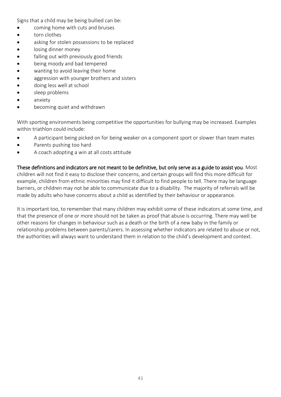Signs that a child may be being bullied can be:

- coming home with cuts and bruises
- torn clothes
- asking for stolen possessions to be replaced
- losing dinner money
- falling out with previously good friends
- being moody and bad tempered
- wanting to avoid leaving their home
- aggression with younger brothers and sisters
- doing less well at school
- sleep problems
- anxiety
- becoming quiet and withdrawn

With sporting environments being competitive the opportunities for bullying may be increased. Examples within triathlon could include:

- A participant being picked on for being weaker on a component sport or slower than team mates
- Parents pushing too hard
- A coach adopting a win at all costs attitude

These definitions and indicators are not meant to be definitive, but only serve as a guide to assist you. Most children will not find it easy to disclose their concerns, and certain groups will find this more difficult for example, children from ethnic minorities may find it difficult to find people to tell. There may be language barriers, or children may not be able to communicate due to a disability. The majority of referrals will be made by adults who have concerns about a child as identified by their behaviour or appearance.

It is important too, to remember that many children may exhibit some of these indicators at some time, and that the presence of one or more should not be taken as proof that abuse is occurring. There may well be other reasons for changes in behaviour such as a death or the birth of a new baby in the family or relationship problems between parents/carers. In assessing whether indicators are related to abuse or not, the authorities will always want to understand them in relation to the child's development and context.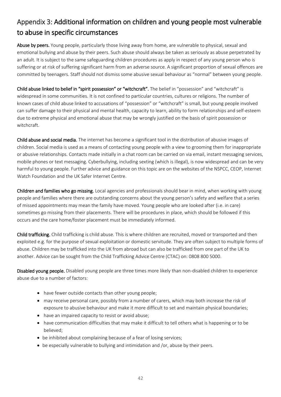# Appendix 3: Additional information on children and young people most vulnerable to abuse in specific circumstances

Abuse by peers. Young people, particularly those living away from home, are vulnerable to physical, sexual and emotional bullying and abuse by their peers. Such abuse should always be taken as seriously as abuse perpetrated by an adult. It is subject to the same safeguarding children procedures as apply in respect of any young person who is suffering or at risk of suffering significant harm from an adverse source. A significant proportion of sexual offences are committed by teenagers. Staff should not dismiss some abusive sexual behaviour as "normal" between young people.

Child abuse linked to belief in "spirit possession" or "witchcraft". The belief in "possession" and "witchcraft" is widespread in some communities. It is not confined to particular countries, cultures or religions. The number of known cases of child abuse linked to accusations of "possession" or "witchcraft" is small, but young people involved can suffer damage to their physical and mental health, capacity to learn, ability to form relationships and self-esteem due to extreme physical and emotional abuse that may be wrongly justified on the basis of spirit possession or witchcraft.

Child abuse and social media. The internet has become a significant tool in the distribution of abusive images of children. Social media is used as a means of contacting young people with a view to grooming them for inappropriate or abusive relationships. Contacts made initially in a chat room can be carried on via email, instant messaging services, mobile phones or text messaging. Cyberbullying, including sexting (which is illegal), is now widespread and can be very harmful to young people. Further advice and guidance on this topic are on the websites of the NSPCC, CEOP, Internet Watch Foundation and the UK Safer Internet Centre.

Children and families who go missing. Local agencies and professionals should bear in mind, when working with young people and families where there are outstanding concerns about the young person's safety and welfare that a series of missed appointments may mean the family have moved. Young people who are looked after (i.e. in care) sometimes go missing from their placements. There will be procedures in place, which should be followed if this occurs and the care home/foster placement must be immediately informed.

Child trafficking. Child trafficking is child abuse. This is where children are recruited, moved or transported and then exploited e.g. for the purpose of sexual exploitation or domestic servitude. They are often subject to multiple forms of abuse. Children may be trafficked into the UK from abroad but can also be trafficked from one part of the UK to another. Advice can be sought from the Child Trafficking Advice Centre (CTAC) on: 0808 800 5000.

Disabled young people. Disabled young people are three times more likely than non-disabled children to experience abuse due to a number of factors:

- have fewer outside contacts than other young people;
- may receive personal care, possibly from a number of carers, which may both increase the risk of exposure to abusive behaviour and make it more difficult to set and maintain physical boundaries;
- have an impaired capacity to resist or avoid abuse;
- have communication difficulties that may make it difficult to tell others what is happening or to be believed;
- be inhibited about complaining because of a fear of losing services;
- be especially vulnerable to bullying and intimidation and /or, abuse by their peers.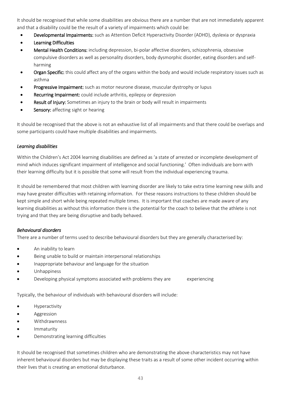It should be recognised that while some disabilities are obvious there are a number that are not immediately apparent and that a disability could be the result of a variety of impairments which could be:

- Developmental Impairments: such as Attention Deficit Hyperactivity Disorder (ADHD), dyslexia or dyspraxia
- Learning Difficulties
- Mental Health Conditions: including depression, bi-polar affective disorders, schizophrenia, obsessive compulsive disorders as well as personality disorders, body dysmorphic disorder, eating disorders and selfharming
- **•** Organ Specific: this could affect any of the organs within the body and would include respiratory issues such as asthma
- Progressive Impairment: such as motor neurone disease, muscular dystrophy or lupus
- Recurring Impairment: could include arthritis, epilepsy or depression
- **Result of Injury:** Sometimes an injury to the brain or body will result in impairments
- Sensory: affecting sight or hearing

It should be recognised that the above is not an exhaustive list of all impairments and that there could be overlaps and some participants could have multiple disabilities and impairments.

#### *Learning disabilities*

Within the Children's Act 2004 learning disabilities are defined as 'a state of arrested or incomplete development of mind which induces significant impairment of intelligence and social functioning.' Often individuals are born with their learning difficulty but it is possible that some will result from the individual experiencing trauma.

It should be remembered that most children with learning disorder are likely to take extra time learning new skills and may have greater difficulties with retaining information. For these reasons instructions to these children should be kept simple and short while being repeated multiple times. It is important that coaches are made aware of any learning disabilities as without this information there is the potential for the coach to believe that the athlete is not trying and that they are being disruptive and badly behaved.

#### *Behavioural disorders*

There are a number of terms used to describe behavioural disorders but they are generally characterised by:

- An inability to learn
- Being unable to build or maintain interpersonal relationships
- Inappropriate behaviour and language for the situation
- Unhappiness
- Developing physical symptoms associated with problems they are experiencing

Typically, the behaviour of individuals with behavioural disorders will include:

- Hyperactivity
- Aggression
- Withdrawnness
- **Immaturity**
- Demonstrating learning difficulties

It should be recognised that sometimes children who are demonstrating the above characteristics may not have inherent behavioural disorders but may be displaying these traits as a result of some other incident occurring within their lives that is creating an emotional disturbance.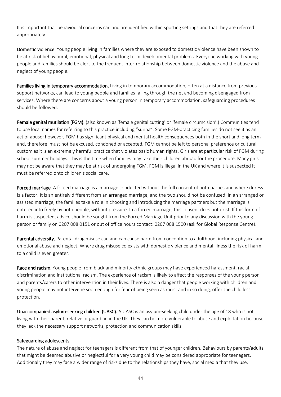It is important that behavioural concerns can and are identified within sporting settings and that they are referred appropriately.

Domestic violence. Young people living in families where they are exposed to domestic violence have been shown to be at risk of behavioural, emotional, physical and long term developmental problems. Everyone working with young people and families should be alert to the frequent inter-relationship between domestic violence and the abuse and neglect of young people.

Families living in temporary accommodation. Living in temporary accommodation, often at a distance from previous support networks, can lead to young people and families falling through the net and becoming disengaged from services. Where there are concerns about a young person in temporary accommodation, safeguarding procedures should be followed.

Female genital mutilation (FGM). (also known as 'female genital cutting' or 'female circumcision'.) Communities tend to use local names for referring to this practice including "sunna". Some FGM-practicing families do not see it as an act of abuse; however, FGM has significant physical and mental health consequences both in the short and long term and, therefore, must not be excused, condoned or accepted. FGM cannot be left to personal preference or cultural custom as it is an extremely harmful practice that violates basic human rights. Girls are at particular risk of FGM during school summer holidays. This is the time when families may take their children abroad for the procedure. Many girls may not be aware that they may be at risk of undergoing FGM. FGM is illegal in the UK and where it is suspected it must be referred onto children's social care.

Forced marriage. A forced marriage is a marriage conducted without the full consent of both parties and where duress is a factor. It is an entirely different from an arranged marriage, and the two should not be confused. In an arranged or assisted marriage, the families take a role in choosing and introducing the marriage partners but the marriage is entered into freely by both people, without pressure. In a forced marriage, this consent does not exist. If this form of harm is suspected, advice should be sought from the Forced Marriage Unit prior to any discussion with the young person or family on 0207 008 0151 or out of office hours contact: 0207 008 1500 (ask for Global Response Centre).

Parental adversity. Parental drug misuse can and can cause harm from conception to adulthood, including physical and emotional abuse and neglect. Where drug misuse co exists with domestic violence and mental illness the risk of harm to a child is even greater.

Race and racism. Young people from black and minority ethnic groups may have experienced harassment, racial discrimination and institutional racism. The experience of racism is likely to affect the responses of the young person and parents/carers to other intervention in their lives. There is also a danger that people working with children and young people may not intervene soon enough for fear of being seen as racist and in so doing, offer the child less protection.

Unaccompanied asylum-seeking children (UASC). A UASC is an asylum-seeking child under the age of 18 who is not living with their parent, relative or guardian in the UK. They can be more vulnerable to abuse and exploitation because they lack the necessary support networks, protection and communication skills.

#### Safeguarding adolescents

The nature of abuse and neglect for teenagers is different from that of younger children. Behaviours by parents/adults that might be deemed abusive or neglectful for a very young child may be considered appropriate for teenagers. Additionally they may face a wider range of risks due to the relationships they have, social media that they use,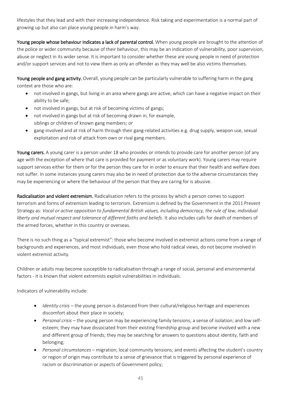lifestyles that they lead and with their increasing independence. Risk taking and experimentation is a normal part of growing up but also can place young people in harm's way.

Young people whose behaviour indicates a lack of parental control. When young people are brought to the attention of the police or wider community because of their behaviour, this may be an indication of vulnerability, poor supervision, abuse or neglect in its wider sense. It is important to consider whether these are young people in need of protection and/or support services and not to view them as only an offender as they may well be also victims themselves.

Young people and gang activity. Overall, young people can be particularly vulnerable to suffering harm in the gang context are those who are:

- not involved in gangs, but living in an area where gangs are active, which can have a negative impact on their ability to be safe;
- not involved in gangs, but at risk of becoming victims of gangs;
- not involved in gangs but at risk of becoming drawn in, for example, siblings or children of known gang members; *or*
- gang-involved and at risk of harm through their gang-related activities e.g. drug supply, weapon use, sexual exploitation and risk of attack from own or rival gang members.

Young carers. A young carer is a person under 18 who provides or intends to provide care for another person (of any age with the exception of where that care is provided for payment or as voluntary work). Young carers may require support services either for them or for the person they care for in order to ensure that their health and welfare does not suffer. In some instances young carers may also be in need of protection due to the adverse circumstances they may be experiencing or where the behaviour of the person that they are caring for is abusive.

Radicalisation and violent extremism. Radicalisation refers to the process by which a person comes to support terrorism and forms of extremism leading to terrorism. Extremism is defined by the Government in the 2011 Prevent Strategy as: *Vocal or active opposition to fundamental British values, including democracy, the rule of law, individual liberty and mutual respect and tolerance of different faiths and beliefs*. It also includes calls for death of members of the armed forces, whether in this country or overseas.

There is no such thing as a "typical extremist": those who become involved in extremist actions come from a range of backgrounds and experiences, and most individuals, even those who hold radical views, do not become involved in violent extremist activity.

Children or adults may become susceptible to radicalisation through a range of social, personal and environmental factors - it is known that violent extremists exploit vulnerabilities in individuals.

Indicators of vulnerability include:

- *Identity crisis* the young person is distanced from their cultural/religious heritage and experiences discomfort about their place in society;
- *Personal crisis* the young person may be experiencing family tensions; a sense of isolation; and low selfesteem; they may have dissociated from their existing friendship group and become involved with a new and different group of friends; they may be searching for answers to questions about identity, faith and belonging;
- *Personal circumstances* migration; local community tensions; and events affecting the student's country or region of origin may contribute to a sense of grievance that is triggered by personal experience of racism or discrimination or aspects of Government policy;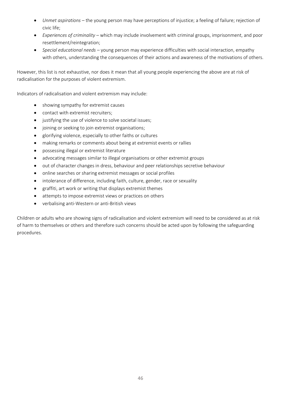- *Unmet aspirations* the young person may have perceptions of injustice; a feeling of failure; rejection of civic life;
- *Experiences of criminality* which may include involvement with criminal groups, imprisonment, and poor resettlement/reintegration;
- *Special educational needs* young person may experience difficulties with social interaction, empathy with others, understanding the consequences of their actions and awareness of the motivations of others.

However, this list is not exhaustive, nor does it mean that all young people experiencing the above are at risk of radicalisation for the purposes of violent extremism.

Indicators of radicalisation and violent extremism may include:

- showing sympathy for extremist causes
- contact with extremist recruiters;
- justifying the use of violence to solve societal issues;
- joining or seeking to join extremist organisations;
- glorifying violence, especially to other faiths or cultures
- making remarks or comments about being at extremist events or rallies
- possessing illegal or extremist literature
- advocating messages similar to illegal organisations or other extremist groups
- out of character changes in dress, behaviour and peer relationships secretive behaviour
- online searches or sharing extremist messages or social profiles
- intolerance of difference, including faith, culture, gender, race or sexuality
- graffiti, art work or writing that displays extremist themes
- attempts to impose extremist views or practices on others
- verbalising anti-Western or anti-British views

Children or adults who are showing signs of radicalisation and violent extremism will need to be considered as at risk of harm to themselves or others and therefore such concerns should be acted upon by following the safeguarding procedures.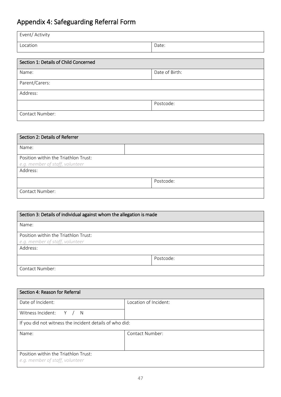# Appendix 4: Safeguarding Referral Form

| Event/ Activity |       |
|-----------------|-------|
| Location        | Date: |

| Section 1: Details of Child Concerned |                |  |  |  |  |
|---------------------------------------|----------------|--|--|--|--|
| Name:                                 | Date of Birth: |  |  |  |  |
| Parent/Carers:                        |                |  |  |  |  |
| Address:                              |                |  |  |  |  |
| Postcode:                             |                |  |  |  |  |
| Contact Number:                       |                |  |  |  |  |

| Section 2: Details of Referrer       |  |  |  |  |
|--------------------------------------|--|--|--|--|
| Name:                                |  |  |  |  |
| Position within the Triathlon Trust: |  |  |  |  |
| e.g. member of staff, volunteer      |  |  |  |  |
| Address:                             |  |  |  |  |
| Postcode:                            |  |  |  |  |
| Contact Number:                      |  |  |  |  |

| Section 3: Details of individual against whom the allegation is made    |  |  |  |  |
|-------------------------------------------------------------------------|--|--|--|--|
| Name:                                                                   |  |  |  |  |
| Position within the Triathlon Trust:<br>e.g. member of staff, volunteer |  |  |  |  |
| Address:                                                                |  |  |  |  |
| Postcode:                                                               |  |  |  |  |
| Contact Number:                                                         |  |  |  |  |

| Section 4: Reason for Referral                          |                       |  |  |  |
|---------------------------------------------------------|-----------------------|--|--|--|
| Date of Incident:                                       | Location of Incident: |  |  |  |
| Witness Incident: Y / N                                 |                       |  |  |  |
| If you did not witness the incident details of who did: |                       |  |  |  |
| Contact Number:<br>Name:                                |                       |  |  |  |
|                                                         |                       |  |  |  |
| Position within the Triathlon Trust:                    |                       |  |  |  |
| e.g. member of staff, volunteer                         |                       |  |  |  |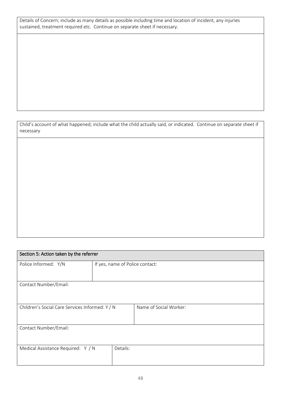Details of Concern; include as many details as possible including time and location of incident, any injuries sustained, treatment required etc. Continue on separate sheet if necessary.

Child's account of what happened; include what the child actually said, or indicated. Continue on separate sheet if necessary

| Section 5: Action taken by the referrer         |                                 |                        |  |  |  |  |
|-------------------------------------------------|---------------------------------|------------------------|--|--|--|--|
| Police Informed: Y/N                            | If yes, name of Police contact: |                        |  |  |  |  |
|                                                 |                                 |                        |  |  |  |  |
| Contact Number/Email:                           |                                 |                        |  |  |  |  |
|                                                 |                                 |                        |  |  |  |  |
| Children's Social Care Services Informed: Y / N |                                 | Name of Social Worker: |  |  |  |  |
|                                                 |                                 |                        |  |  |  |  |
| Contact Number/Email:                           |                                 |                        |  |  |  |  |
|                                                 |                                 |                        |  |  |  |  |
| Medical Assistance Required: Y / N              | Details:                        |                        |  |  |  |  |
|                                                 |                                 |                        |  |  |  |  |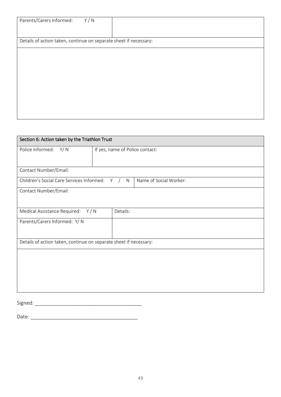| Y/N<br>Parents/Carers Informed:                                   |  |
|-------------------------------------------------------------------|--|
|                                                                   |  |
| Details of action taken, continue on separate sheet if necessary: |  |
|                                                                   |  |
|                                                                   |  |
|                                                                   |  |
|                                                                   |  |
|                                                                   |  |
|                                                                   |  |
|                                                                   |  |
|                                                                   |  |
|                                                                   |  |

| Section 6: Action taken by the Triathlon Trust |                                                                   |                        |  |  |  |
|------------------------------------------------|-------------------------------------------------------------------|------------------------|--|--|--|
| Police Informed: Y/N                           | If yes, name of Police contact:                                   |                        |  |  |  |
|                                                |                                                                   |                        |  |  |  |
| Contact Number/Email:                          |                                                                   |                        |  |  |  |
| Children's Social Care Services Informed: Y /  | N                                                                 | Name of Social Worker: |  |  |  |
| Contact Number/Email:                          |                                                                   |                        |  |  |  |
|                                                |                                                                   |                        |  |  |  |
| Medical Assistance Required: Y/N               | Details:                                                          |                        |  |  |  |
| Parents/Carers Informed: Y/N                   |                                                                   |                        |  |  |  |
|                                                |                                                                   |                        |  |  |  |
|                                                | Details of action taken, continue on separate sheet if necessary: |                        |  |  |  |
|                                                |                                                                   |                        |  |  |  |
|                                                |                                                                   |                        |  |  |  |
|                                                |                                                                   |                        |  |  |  |
|                                                |                                                                   |                        |  |  |  |
|                                                |                                                                   |                        |  |  |  |
| Signed:                                        |                                                                   |                        |  |  |  |

Date: \_\_\_\_\_\_\_\_\_\_\_\_\_\_\_\_\_\_\_\_\_\_\_\_\_\_\_\_\_\_\_\_\_\_\_\_\_\_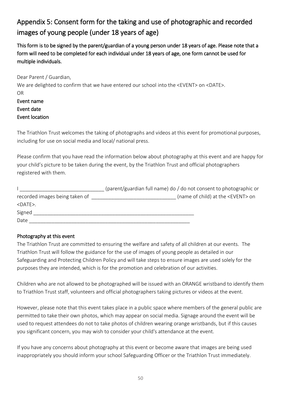# Appendix 5: Consent form for the taking and use of photographic and recorded images of young people (under 18 years of age)

This form is to be signed by the parent/guardian of a young person under 18 years of age. Please note that a form will need to be completed for each individual under 18 years of age, one form cannot be used for multiple individuals.

Dear Parent / Guardian,

We are delighted to confirm that we have entered our school into the <EVENT> on <DATE>. OR Event name Event date Event location

The Triathlon Trust welcomes the taking of photographs and videos at this event for promotional purposes, including for use on social media and local/ national press.

Please confirm that you have read the information below about photography at this event and are happy for your child's picture to be taken during the event, by the Triathlon Trust and official photographers registered with them.

|                                | (parent/guardian full name) do / do not consent to photographic or |
|--------------------------------|--------------------------------------------------------------------|
| recorded images being taken of | (name of child) at the <event> on</event>                          |
| $<$ DATE $>$ .                 |                                                                    |
| Signed                         |                                                                    |
| Date                           |                                                                    |

#### Photography at this event

The Triathlon Trust are committed to ensuring the welfare and safety of all children at our events. The Triathlon Trust will follow the guidance for the use of images of young people as detailed in our Safeguarding and Protecting Children Policy and will take steps to ensure images are used solely for the purposes they are intended, which is for the promotion and celebration of our activities.

Children who are not allowed to be photographed will be issued with an ORANGE wristband to identify them to Triathlon Trust staff, volunteers and official photographers taking pictures or videos at the event.

However, please note that this event takes place in a public space where members of the general public are permitted to take their own photos, which may appear on social media. Signage around the event will be used to request attendees do not to take photos of children wearing orange wristbands, but if this causes you significant concern, you may wish to consider your child's attendance at the event.

If you have any concerns about photography at this event or become aware that images are being used inappropriately you should inform your school Safeguarding Officer or the Triathlon Trust immediately.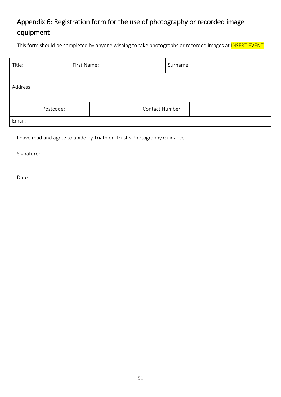# Appendix 6: Registration form for the use of photography or recorded image equipment

This form should be completed by anyone wishing to take photographs or recorded images at **INSERT EVENT** 

| Title:   |           | First Name: |                 | Surname: |  |
|----------|-----------|-------------|-----------------|----------|--|
| Address: |           |             |                 |          |  |
|          | Postcode: |             | Contact Number: |          |  |
| Email:   |           |             |                 |          |  |

I have read and agree to abide by Triathlon Trust's Photography Guidance.

Signature: \_\_\_\_\_\_\_\_\_\_\_\_\_\_\_\_\_\_\_\_\_\_\_\_\_\_\_\_\_\_

| D<br>$\mathbf{r}$<br>י היד ר<br>$\sim$<br>-<br>- |  |  |  |
|--------------------------------------------------|--|--|--|
|                                                  |  |  |  |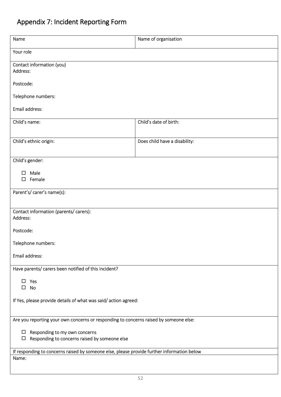# Appendix 7: Incident Reporting Form

| Name                                                                                                | Name of organisation          |  |  |  |
|-----------------------------------------------------------------------------------------------------|-------------------------------|--|--|--|
| Your role                                                                                           |                               |  |  |  |
| Contact information (you)<br>Address:                                                               |                               |  |  |  |
| Postcode:                                                                                           |                               |  |  |  |
| Telephone numbers:                                                                                  |                               |  |  |  |
| Email address:                                                                                      |                               |  |  |  |
| Child's name:                                                                                       | Child's date of birth:        |  |  |  |
| Child's ethnic origin:                                                                              | Does child have a disability: |  |  |  |
| Child's gender:                                                                                     |                               |  |  |  |
| $\square$ Male                                                                                      |                               |  |  |  |
| $\square$ Female                                                                                    |                               |  |  |  |
| Parent's/ carer's name(s):                                                                          |                               |  |  |  |
| Contact information (parents/ carers):<br>Address:                                                  |                               |  |  |  |
| Postcode:                                                                                           |                               |  |  |  |
| Telephone numbers:                                                                                  |                               |  |  |  |
| Email address:                                                                                      |                               |  |  |  |
| Have parents/ carers been notified of this incident?                                                |                               |  |  |  |
| $\square$ Yes<br>No<br>$\Box$                                                                       |                               |  |  |  |
| If Yes, please provide details of what was said/action agreed:                                      |                               |  |  |  |
| Are you reporting your own concerns or responding to concerns raised by someone else:               |                               |  |  |  |
| $\Box$ Responding to my own concerns                                                                |                               |  |  |  |
| Responding to concerns raised by someone else<br>$\Box$                                             |                               |  |  |  |
| If responding to concerns raised by someone else, please provide further information below<br>Name: |                               |  |  |  |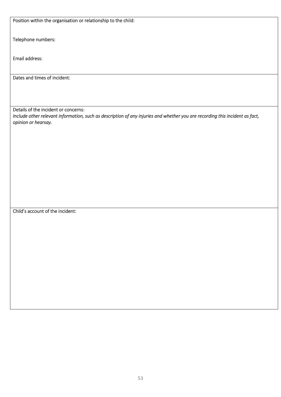Position within the organisation or relationship to the child:

Telephone numbers:

Email address:

Dates and times of incident:

Details of the incident or concerns:

*Include other relevant information, such as description of any injuries and whether you are recording this incident as fact, opinion or hearsay.* 

Child's account of the incident: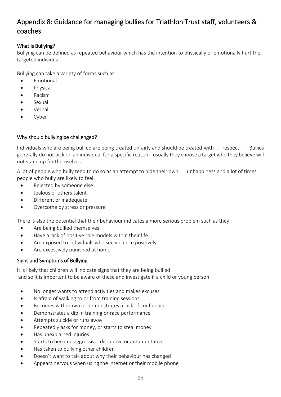# Appendix 8: Guidance for managing bullies for Triathlon Trust staff, volunteers & coaches

#### What is Bullying?

Bullying can be defined as repeated behaviour which has the intention to physically or emotionally hurt the targeted individual.

Bullying can take a variety of forms such as:

- Emotional
- Physical
- Racism
- Sexual
- Verbal
- Cyber

#### Why should bullying be challenged?

Individuals who are being bullied are being treated unfairly and should be treated with respect. Bullies generally do not pick on an individual for a specific reason; usually they choose a target who they believe will not stand up for themselves.

A lot of people who bully tend to do so as an attempt to hide their own unhappiness and a lot of times people who bully are likely to feel:

- Rejected by someone else
- Jealous of others talent
- Different or inadequate
- Overcome by stress or pressure

There is also the potential that their behaviour indicates a more serious problem such as they:

- Are being bullied themselves
- Have a lack of positive role models within their life
- Are exposed to individuals who see violence positively
- Are excessively punished at home.

#### Signs and Symptoms of Bullying

It is likely that children will indicate signs that they are being bullied and so it is important to be aware of these and investigate if a child or young person:

- No longer wants to attend activities and makes excuses
- Is afraid of walking to or from training sessions
- Becomes withdrawn or demonstrates a lack of confidence
- Demonstrates a dip in training or race performance
- Attempts suicide or runs away
- Repeatedly asks for money, or starts to steal money
- Has unexplained injuries
- Starts to become aggressive, disruptive or argumentative
- Has taken to bullying other children
- Doesn't want to talk about why their behaviour has changed
- Appears nervous when using the internet or their mobile phone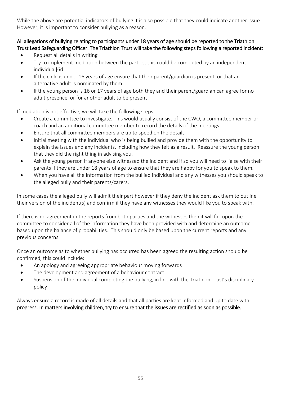While the above are potential indicators of bullying it is also possible that they could indicate another issue. However, it is important to consider bullying as a reason.

#### All allegations of bullying relating to participants under 18 years of age should be reported to the Triathlon Trust Lead Safeguarding Officer. The Triathlon Trust will take the following steps following a reported incident:

- Request all details in writing
- Try to implement mediation between the parties, this could be completed by an independent individual]6d
- If the child is under 16 years of age ensure that their parent/guardian is present, or that an alternative adult is nominated by them
- If the young person is 16 or 17 years of age both they and their parent/guardian can agree for no adult presence, or for another adult to be present

If mediation is not effective, we will take the following steps:

- Create a committee to investigate. This would usually consist of the CWO, a committee member or coach and an additional committee member to record the details of the meetings.
- Ensure that all committee members are up to speed on the details
- Initial meeting with the individual who is being bullied and provide them with the opportunity to explain the issues and any incidents, including how they felt as a result. Reassure the young person that they did the right thing in advising you.
- Ask the young person if anyone else witnessed the incident and if so you will need to liaise with their parents if they are under 18 years of age to ensure that they are happy for you to speak to them.
- When you have all the information from the bullied individual and any witnesses you should speak to the alleged bully and their parents/carers.

In some cases the alleged bully will admit their part however if they deny the incident ask them to outline their version of the incident(s) and confirm if they have any witnesses they would like you to speak with.

If there is no agreement in the reports from both parties and the witnesses then it will fall upon the committee to consider all of the information they have been provided with and determine an outcome based upon the balance of probabilities. This should only be based upon the current reports and any previous concerns.

Once an outcome as to whether bullying has occurred has been agreed the resulting action should be confirmed, this could include:

- An apology and agreeing appropriate behaviour moving forwards
- The development and agreement of a behaviour contract
- Suspension of the individual completing the bullying, in line with the Triathlon Trust's disciplinary policy

Always ensure a record is made of all details and that all parties are kept informed and up to date with progress. In matters involving children, try to ensure that the issues are rectified as soon as possible.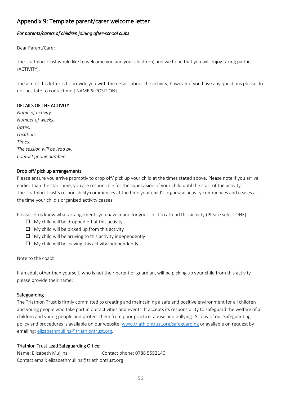#### Appendix 9: Template parent/carer welcome letter

#### *For parents/carers of children joining after-school clubs*

Dear Parent/Carer,

The Triathlon Trust would like to welcome you and your child(ren) and we hope that you will enjoy taking part in {ACTIVITY}.

The aim of this letter is to provide you with the details about the activity, however if you have any questions please do not hesitate to contact me { NAME & POSITION}.

#### DETAILS OF THE ACTIVITY

*Name of activity: Number of weeks: Dates: Location: Times: The session will be lead by: Contact phone number:*

#### Drop off/ pick up arrangements

Please ensure you arrive promptly to drop off/ pick up your child at the times stated above. Please note if you arrive earlier than the start time, you are responsible for the supervision of your child until the start of the activity. The Triathlon Trust's responsibility commences at the time your child's organizsd activity commences and ceases at the time your child's organised activity ceases.

Please let us know what arrangements you have made for your child to attend this activity (Please select ONE)

- $\Box$  My child will be dropped off at this activity
- $\Box$  My child will be picked up from this activity
- $\Box$  My child will be arriving to this activity independently
- $\Box$  My child will be leaving this activity independently

Note to the coach:

If an adult other than yourself, who is not their parent or guardian, will be picking up your child from this activity please provide their name:

#### Safeguarding

The Triathlon Trust is firmly committed to creating and maintaining a safe and positive environment for all children and young people who take part in our activities and events. It accepts its responsibility to safeguard the welfare of all children and young people and protect them from poor practice, abuse and bullying. A copy of our Safeguarding policy and procedures is available on our website, [www.triathlontrust.org/safeguarding](http://www.triathlontrust.org/safeguarding) or available on request by emailing: [elizabethmullins@triathlontrust.org.](mailto:elizabethmullins@triathlontrust.org)

#### Triathlon Trust Lead Safeguarding Officer

Name: Elizabeth Mullins Contact phone: 0788 5552140 Contact email: elizabethmullins@triathlontrust.org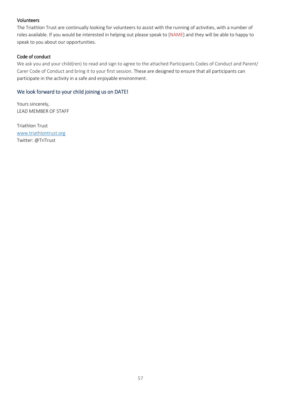#### **Volunteers**

The Triathlon Trust are continually looking for volunteers to assist with the running of activities, with a number of roles available. If you would be interested in helping out please speak to {NAME} and they will be able to happy to speak to you about our opportunities.

#### Code of conduct

We ask you and your child(ren) to read and sign to agree to the attached Participants Codes of Conduct and Parent/ Carer Code of Conduct and bring it to your first session. These are designed to ensure that all participants can participate in the activity in a safe and enjoyable environment.

#### We look forward to your child joining us on DATE!

Yours sincerely, LEAD MEMBER OF STAFF

Triathlon Trust [www.triathlontrust.org](http://www.triathlontrust.org/) Twitter: @TriTrust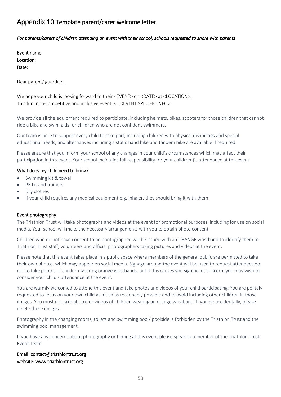### Appendix 10 Template parent/carer welcome letter

#### *For parents/carers of children attending an event with their school, schools requested to share with parents*

| Event name: |
|-------------|
| Location:   |
| Date:       |

Dear parent/ guardian,

We hope your child is looking forward to their <EVENT> on <DATE> at <LOCATION>. This fun, non-competitive and inclusive event is… <EVENT SPECIFIC INFO>

We provide all the equipment required to participate, including helmets, bikes, scooters for those children that cannot ride a bike and swim aids for children who are not confident swimmers.

Our team is here to support every child to take part, including children with physical disabilities and special educational needs, and alternatives including a static hand bike and tandem bike are available if required.

Please ensure that you inform your school of any changes in your child's circumstances which may affect their participation in this event. Your school maintains full responsibility for your child(ren)'s attendance at this event.

#### What does my child need to bring?

- Swimming kit & towel
- PE kit and trainers
- Dry clothes
- if your child requires any medical equipment e.g. inhaler, they should bring it with them

#### Event photography

The Triathlon Trust will take photographs and videos at the event for promotional purposes, including for use on social media. Your school will make the necessary arrangements with you to obtain photo consent.

Children who do not have consent to be photographed will be issued with an ORANGE wristband to identify them to Triathlon Trust staff, volunteers and official photographers taking pictures and videos at the event.

Please note that this event takes place in a public space where members of the general public are permitted to take their own photos, which may appear on social media. Signage around the event will be used to request attendees do not to take photos of children wearing orange wristbands, but if this causes you significant concern, you may wish to consider your child's attendance at the event.

You are warmly welcomed to attend this event and take photos and videos of your child participating. You are politely requested to focus on your own child as much as reasonably possible and to avoid including other children in those images. You must not take photos or videos of children wearing an orange wristband. If you do accidentally, please delete these images.

Photography in the changing rooms, toilets and swimming pool/ poolside is forbidden by the Triathlon Trust and the swimming pool management.

If you have any concerns about photography or filming at this event please speak to a member of the Triathlon Trust Event Team.

#### Email: contact@triathlontrust.org website: www.triathlontrust.org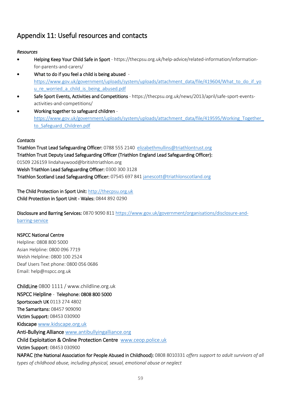# Appendix 11: Useful resources and contacts

#### *Resources*

- Helping Keep Your Child Safe in Sport https://thecpsu.org.uk/help-advice/related-information/informationfor-parents-and-carers/
- What to do if you feel a child is being abused [https://www.gov.uk/government/uploads/system/uploads/attachment\\_data/file/419604/What\\_to\\_do\\_if\\_yo](https://www.gov.uk/government/uploads/system/uploads/attachment_data/file/419604/What_to_do_if_you_re_worried_a_child_is_being_abused.pdf) u re worried a child is being abused.pdf
- [Safe Sport Events, Activities and Competitions](https://thecpsu.org.uk/news/2013/april/safe-sport-events-activities-and-competitions/) https://thecpsu.org.uk/news/2013/april/safe-sport-eventsactivities-and-competitions/
- Working together to safeguard children [https://www.gov.uk/government/uploads/system/uploads/attachment\\_data/file/419595/Working\\_Together\\_](https://www.gov.uk/government/uploads/system/uploads/attachment_data/file/419595/Working_Together_to_Safeguard_Children.pdf) to Safeguard Children.pdf

#### *Contacts*

Triathlon Trust Lead Safeguarding Officer: 0788 555 2140 [elizabethmullins@triathlontrust.org](mailto:elizabethmullins@triathlontrust.org)  Triathlon Trust Deputy Lead Safeguarding Officer (Triathlon England Lead Safeguarding Officer): 01509 226159 lindahaywood@britishtriathlon.org Welsh Triathlon Lead Safeguarding Officer: 0300 300 3128 Triathlon Scotland Lead Safeguarding Officer: 07545 697 841 [janescott@triathlonscotland.org](mailto:janescott@triathlonscotland.org)

The Child Protection in Sport Unit: [http://thecpsu.org.uk](http://thecpsu.org.uk/) Child Protection in Sport Unit - Wales: 0844 892 0290

Disclosure and Barring Services: 0870 9090 811 [https://www.gov.uk/government/organisations/disclosure-and](https://www.gov.uk/government/organisations/disclosure-and-barring-service)[barring-service](https://www.gov.uk/government/organisations/disclosure-and-barring-service)

#### NSPCC National Centre

Helpline: 0808 800 5000 Asian Helpline: 0800 096 7719 Welsh Helpline: 0800 100 2524 Deaf Users Text phone: 0800 056 0686 Email: [help@nspcc.org.uk](mailto:help@nspcc.org.uk)

ChildLine 0800 1111 / www.childline.org.uk NSPCC Helpline - Telephone: 0808 800 5000 Sportscoach UK 0113 274 4802 The Samaritans: 08457 909090 Victim Support: 08453 030900 Kidscape [www.kidscape.org.uk](http://www.kidscape.org.uk/) Anti-Bullying Alliance [www.antibullyingalliance.org](http://www.antibullyingalliance.org/) Child Exploitation & Online Protection Centre [www.ceop.police.uk](http://www.ceop.police.uk/) Victim Support: 08453 030900 NAPAC (the National Association for People Abused in Childhood): 0808 8010331 *offers support to adult survivors of all types of childhood abuse, including physical, sexual, emotional abuse or neglect*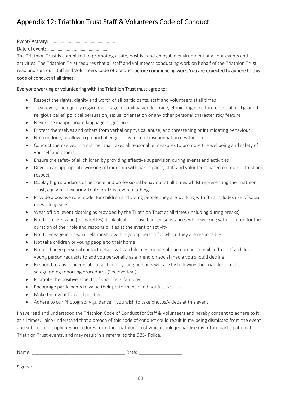#### Event/ Activity: ………………………………………………...

#### Date of event: ……………………………………………….

The Triathlon Trust is committed to promoting a safe, positive and enjoyable environment at all our events and activities. The Triathlon Trust requires that all staff and volunteers conducting work on behalf of the Triathlon Trust read and sign our Staff and Volunteers Code of Conduct before commencing work. You are expected to adhere to this code of conduct at all times.

#### Everyone working or volunteering with the Triathlon Trust must agree to:

- Respect the rights, dignity and worth of all participants, staff and volunteers at all times
- Treat everyone equally regardless of age, disability, gender, race, ethnic origin, culture or social background religious belief, political persuasion, sexual orientation or any other personal characteristic/ feature
- Never use inappropriate language or gestures
- Protect themselves and others from verbal or physical abuse, and threatening or intimidating behaviour
- Not condone, or allow to go unchallenged, any form of discrimination if witnessed
- Conduct themselves in a manner that takes all reasonable measures to promote the wellbeing and safety of yourself and others
- Ensure the safety of all children by providing effective supervision during events and activities
- Develop an appropriate working relationship with participants, staff and volunteers based on mutual trust and respect
- Display high standards of personal and professional behaviour at all times whilst representing the Triathlon Trust, e.g. whilst wearing Triathlon Trust event clothing
- Provide a positive role model for children and young people they are working with (this includes use of social networking sites)
- Wear official event clothing as provided by the Triathlon Trust at all times (including during breaks)
- Not to smoke, vape (e-cigarettes) drink alcohol or use banned substances while working with children for the duration of their role and responsibilities at the event or activity
- Not to engage in a sexual relationship with a young person for whom they are responsible
- Not take children or young people to their home
- Not exchange personal contact details with a child, e.g. mobile phone number, email address. If a child or young person requests to add you personally as a friend on social media you should decline.
- Respond to any concerns about a child or young person's welfare by following the Triathlon Trust's safeguarding reporting procedures (See overleaf)
- Promote the positive aspects of sport (e.g. fair play)
- Encourage participants to value their performance and not just results
- Make the event fun and positive
- Adhere to our Photography guidance if you wish to take photos/videos at this event

I have read and understood the Triathlon Code of Conduct for Staff & Volunteers and hereby consent to adhere to it at all times. I also understand that a breach of this code of conduct could result in my being dismissed from the event and subject to disciplinary procedures from the Triathlon Trust which could jeopardise my future participation at Triathlon Trust events, and may result in a referral to the DBS/ Police.

| $\mathbb{N}$<br>-<br>. .<br>- |
|-------------------------------|
|-------------------------------|

Signed: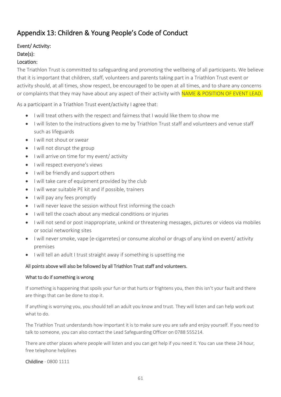# Appendix 13: Children & Young People's Code of Conduct

# Event/ Activity: Date(s):

#### Location:

The Triathlon Trust is committed to safeguarding and promoting the wellbeing of all participants. We believe that it is important that children, staff, volunteers and parents taking part in a Triathlon Trust event or activity should, at all times, show respect, be encouraged to be open at all times, and to share any concerns or complaints that they may have about any aspect of their activity with NAME & POSITION OF EVENT LEAD.

As a participant in a Triathlon Trust event/activity I agree that:

- I will treat others with the respect and fairness that I would like them to show me
- I will listen to the instructions given to me by Triathlon Trust staff and volunteers and venue staff such as lifeguards
- I will not shout or swear
- I will not disrupt the group
- I will arrive on time for my event/ activity
- I will respect everyone's views
- I will be friendly and support others
- I will take care of equipment provided by the club
- I will wear suitable PE kit and if possible, trainers
- I will pay any fees promptly
- I will never leave the session without first informing the coach
- I will tell the coach about any medical conditions or injuries
- I will not send or post inappropriate, unkind or threatening messages, pictures or videos via mobiles or social networking sites
- I will never smoke, vape (e-cigarretes) or consume alcohol or drugs of any kind on event/ activity premises
- I will tell an adult I trust straight away if something is upsetting me

#### All points above will also be followed by all Triathlon Trust staff and volunteers.

#### What to do if something is wrong

If something is happening that spoils your fun or that hurts or frightens you, then this isn't your fault and there are things that can be done to stop it.

If anything is worrying you, you should tell an adult you know and trust. They will listen and can help work out what to do.

The Triathlon Trust understands how important it is to make sure you are safe and enjoy yourself. If you need to talk to someone, you can also contact the Lead Safeguarding Officer on 0788 555214.

There are other places where people will listen and you can get help if you need it. You can use these 24 hour, free telephone helplines

Childline - 0800 1111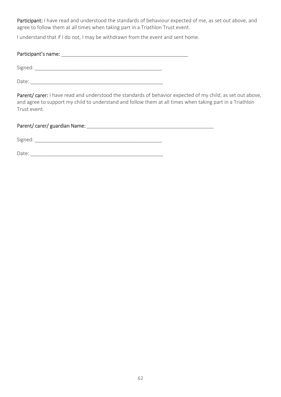Participant: I have read and understood the standards of behaviour expected of me, as set out above, and agree to follow them at all times when taking part in a Triathlon Trust event.

I understand that if I do not, I may be withdrawn from the event and sent home.

#### Participant's name:  $\blacksquare$

Signed:  $\Box$ 

Date: \_\_\_\_\_\_\_\_\_\_\_\_\_\_\_\_\_\_\_\_\_\_\_\_\_\_\_\_\_\_\_\_\_\_\_\_\_\_\_\_\_\_\_\_\_\_\_

Parent/ carer: I have read and understood the standards of behavior expected of my child, as set out above, and agree to support my child to understand and follow them at all times when taking part in a Triathlon Trust event.

#### Parent/ carer/ guardian Name: \_\_\_\_\_\_\_\_\_\_\_\_\_\_\_\_\_\_\_\_\_\_\_\_\_\_\_\_\_\_\_\_\_\_\_\_\_\_\_\_\_\_\_\_\_

Signed:  $\Box$ 

Date: \_\_\_\_\_\_\_\_\_\_\_\_\_\_\_\_\_\_\_\_\_\_\_\_\_\_\_\_\_\_\_\_\_\_\_\_\_\_\_\_\_\_\_\_\_\_\_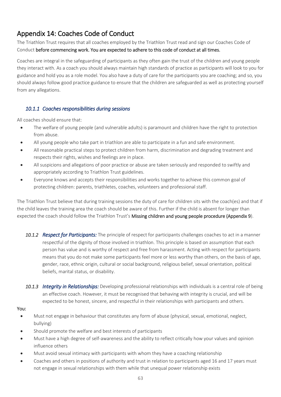# Appendix 14: Coaches Code of Conduct

The Triathlon Trust requires that all coaches employed by the Triathlon Trust read and sign our Coaches Code of Conduct before commencing work. You are expected to adhere to this code of conduct at all times.

Coaches are integral in the safeguarding of participants as they often gain the trust of the children and young people they interact with. As a coach you should always maintain high standards of practice as participants will look to you for guidance and hold you as a role model. You also have a duty of care for the participants you are coaching; and so, you should always follow good practice guidance to ensure that the children are safeguarded as well as protecting yourself from any allegations.

#### *10.1.1 Coaches responsibilities during sessions*

All coaches should ensure that:

- The welfare of young people (and vulnerable adults) is paramount and children have the right to protection from abuse.
- All young people who take part in triathlon are able to participate in a fun and safe environment.
- All reasonable practical steps to protect children from harm, discrimination and degrading treatment and respects their rights, wishes and feelings are in place.
- All suspicions and allegations of poor practice or abuse are taken seriously and responded to swiftly and appropriately according to Triathlon Trust guidelines.
- Everyone knows and accepts their responsibilities and works together to achieve this common goal of protecting children: parents, triathletes, coaches, volunteers and professional staff.

The Triathlon Trust believe that during training sessions the duty of care for children sits with the coach(es) and that if the child leaves the training area the coach should be aware of this. Further if the child is absent for longer than expected the coach should follow the Triathlon Trust's Missing children and young people procedure (Appendix 9).

- *10.1.2 Respect for Participants:* The principle of respect for participants challenges coaches to act in a manner respectful of the dignity of those involved in triathlon. This principle is based on assumption that each person has value and is worthy of respect and free from harassment. Acting with respect for participants means that you do not make some participants feel more or less worthy than others, on the basis of age, gender, race, ethnic origin, cultural or social background, religious belief, sexual orientation, political beliefs, marital status, or disability.
- *10.1.3 Integrity in Relationships:* Developing professional relationships with individuals is a central role of being an effective coach. However, it must be recognised that behaving with integrity is crucial, and will be expected to be honest, sincere, and respectful in their relationships with participants and others.

#### You:

- Must not engage in behaviour that constitutes any form of abuse (physical, sexual, emotional, neglect, bullying)
- Should promote the welfare and best interests of participants
- Must have a high degree of self-awareness and the ability to reflect critically how your values and opinion influence others
- Must avoid sexual intimacy with participants with whom they have a coaching relationship
- Coaches and others in positions of authority and trust in relation to participants aged 16 and 17 years must not engage in sexual relationships with them while that unequal power relationship exists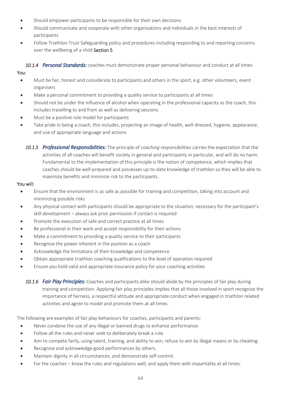- Should empower participants to be responsible for their own decisions
- Should communicate and cooperate with other organisations and individuals in the best interests of participants
- Follow Triathlon Trust Safeguarding policy and procedures including responding to and reporting concerns over the wellbeing of a child Section 5

*10.1.4 Personal Standards:* coaches must demonstrate proper personal behaviour and conduct at all times. You:

- Must be fair, honest and considerate to participants and others in the sport, e.g. other volunteers, event organisers
- Make a personal commitment to providing a quality service to participants at all times
- Should not be under the influence of alcohol when operating in the professional capacity as the coach, this includes travelling to and from as well as delivering sessions
- Must be a positive role model for participants
- Take pride in being a coach, this includes, projecting an image of health, well-dressed, hygiene, appearance, and use of appropriate language and actions
	- *10.1.5 Professional Responsibilities:* The principle of *coaching responsibilities* carries the expectation that the activities of all coaches will benefit society in general and participants in particular, and will do no harm. Fundamental to the implementation of this principle is the notion of competence, which implies that coaches should be well-prepared and possesses up-to-date knowledge of triathlon so they will be able to maximize benefits and minimize risk to the participants.

#### You will:

- Ensure that the environment is as safe as possible for training and competition, taking into account and minimizing possible risks
- Any physical contact with participants should be appropriate to the situation; necessary for the participant's skill development – always ask prior permission if contact is required
- Promote the execution of safe and correct practice at all times
- Be professional in their work and accept responsibility for their actions
- Make a commitment to providing a quality service to their participants
- Recognise the power inherent in the position as a coach
- Acknowledge the limitations of their knowledge and competence
- Obtain appropriate triathlon coaching qualifications to the level of operation required
- Ensure you hold valid and appropriate insurance policy for your coaching activities
	- *10.1.6 Fair Play Principles:* Coaches and participants alike should abide by the principles of fair play during training and competition. Applying fair play principles implies that all those involved in sport recognize the importance of fairness, a respectful attitude and appropriate conduct when engaged in triathlon related activities and agree to model and promote them at all times.

The following are examples of fair play behaviours for coaches, participants and parents:

- Never condone the use of any illegal or banned drugs to enhance performance.
- Follow all the rules and never seek to deliberately break a rule.
- Aim to compete fairly, using talent, training, and ability to win; refuse to win by illegal means or by cheating.
- Recognise and acknowledge good performances by others.
- Maintain dignity in all circumstances, and demonstrate self-control.
- For the coaches know the rules and regulations well, and apply them with impartiality at all times.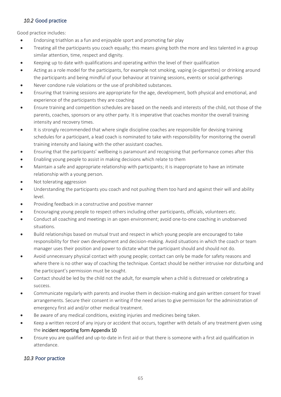#### *10.2* Good practice

Good practice includes:

- Endorsing triathlon as a fun and enjoyable sport and promoting fair play
- Treating all the participants you coach equally; this means giving both the more and less talented in a group similar attention, time, respect and dignity.
- Keeping up to date with qualifications and operating within the level of their qualification
- Acting as a role model for the participants, for example not smoking, vaping (e-cigarettes) or drinking around the participants and being mindful of your behaviour at training sessions, events or social gatherings
- Never condone rule violations or the use of prohibited substances.
- Ensuring that training sessions are appropriate for the age, development, both physical and emotional, and experience of the participants they are coaching
- Ensure training and competition schedules are based on the needs and interests of the child, not those of the parents, coaches, sponsors or any other party. It is imperative that coaches monitor the overall training intensity and recovery times.
- It is strongly recommended that where single discipline coaches are responsible for devising training schedules for a participant, a lead coach is nominated to take with responsibility for monitoring the overall training intensity and liaising with the other assistant coaches.
- Ensuring that the participants' wellbeing is paramount and recognising that performance comes after this
- Enabling young people to assist in making decisions which relate to them
- Maintain a safe and appropriate relationship with participants; it is inappropriate to have an intimate relationship with a young person.
- Not tolerating aggression
- Understanding the participants you coach and not pushing them too hard and against their will and ability level.
- Providing feedback in a constructive and positive manner
- Encouraging young people to respect others including other participants, officials, volunteers etc.
- Conduct all coaching and meetings in an open environment; avoid one-to-one coaching in unobserved situations.
- Build relationships based on mutual trust and respect in which young people are encouraged to take responsibility for their own development and decision-making. Avoid situations in which the coach or team manager uses their position and power to dictate what the participant should and should not do.
- Avoid unnecessary physical contact with young people; contact can only be made for safety reasons and where there is no other way of coaching the technique. Contact should be neither intrusive nor disturbing and the participant's permission must be sought.
- Contact should be led by the child not the adult, for example when a child is distressed or celebrating a success.
- Communicate regularly with parents and involve them in decision-making and gain written consent for travel arrangements. Secure their consent in writing if the need arises to give permission for the administration of emergency first aid and/or other medical treatment.
- Be aware of any medical conditions, existing injuries and medicines being taken.
- Keep a written record of any injury or accident that occurs, together with details of any treatment given using the incident reporting form Appendix 10
- Ensure you are qualified and up-to-date in first aid or that there is someone with a first aid qualification in attendance.

#### *10.3* Poor practice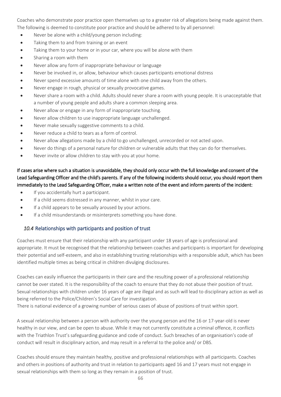Coaches who demonstrate poor practice open themselves up to a greater risk of allegations being made against them. The following is deemed to constitute poor practice and should be adhered to by all personnel:

- Never be alone with a child/young person including:
- Taking them to and from training or an event
- Taking them to your home or in your car, where you will be alone with them
- Sharing a room with them
- Never allow any form of inappropriate behaviour or language
- Never be involved in, or allow, behaviour which causes participants emotional distress
- Never spend excessive amounts of time alone with one child away from the others.
- Never engage in rough, physical or sexually provocative games.
- Never share a room with a child. Adults should never share a room with young people. It is unacceptable that a number of young people and adults share a common sleeping area.
- Never allow or engage in any form of inappropriate touching.
- Never allow children to use inappropriate language unchallenged.
- Never make sexually suggestive comments to a child.
- Never reduce a child to tears as a form of control.
- Never allow allegations made by a child to go unchallenged, unrecorded or not acted upon.
- Never do things of a personal nature for children or vulnerable adults that they can do for themselves.
- Never invite or allow children to stay with you at your home.

If cases arise where such a situation is unavoidable, they should only occur with the full knowledge and consent of the Lead Safeguarding Officer and the child's parents. If any of the following incidents should occur, you should report them immediately to the Lead Safeguarding Officer, make a written note of the event and inform parents of the incident:

- If you accidentally hurt a participant.
- If a child seems distressed in any manner, whilst in your care.
- If a child appears to be sexually aroused by your actions.
- If a child misunderstands or misinterprets something you have done.

#### *10.4* Relationships with participants and position of trust

Coaches must ensure that their relationship with any participant under 18 years of age is professional and appropriate. It must be recognised that the relationship between coaches and participants is important for developing their potential and self-esteem, and also in establishing trusting relationships with a responsible adult, which has been identified multiple times as being critical in children divulging disclosures.

Coaches can easily influence the participants in their care and the resulting power of a professional relationship cannot be over stated. It is the responsibility of the coach to ensure that they do not abuse their position of trust. Sexual relationships with children under 16 years of age are illegal and as such will lead to disciplinary action as well as being referred to the Police/Children's Social Care for investigation.

There is national evidence of a growing number of serious cases of abuse of positions of trust within sport.

A sexual relationship between a person with authority over the young person and the 16 or 17-year-old is never healthy in our view, and can be open to abuse. While it may not currently constitute a criminal offence, it conflicts with the Triathlon Trust's safeguarding guidance and code of conduct. Such breaches of an organisation's code of conduct will result in disciplinary action, and may result in a referral to the police and/ or DBS.

Coaches should ensure they maintain healthy, positive and professional relationships with all participants. Coaches and others in positions of authority and trust in relation to participants aged 16 and 17 years must not engage in sexual relationships with them so long as they remain in a position of trust.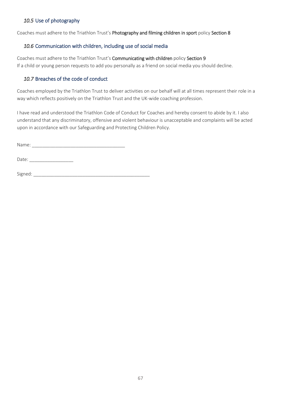#### *10.5* Use of photography

Coaches must adhere to the Triathlon Trust's Photography and filming children in sport policy Section 8

#### *10.6* Communication with children, including use of social media

Coaches must adhere to the Triathlon Trust's Communicating with children policy Section 9 If a child or young person requests to add you personally as a friend on social media you should decline.

#### *10.7* Breaches of the code of conduct

Coaches employed by the Triathlon Trust to deliver activities on our behalf will at all times represent their role in a way which reflects positively on the Triathlon Trust and the UK-wide coaching profession.

I have read and understood the Triathlon Code of Conduct for Coaches and hereby consent to abide by it. I also understand that any discriminatory, offensive and violent behaviour is unacceptable and complaints will be acted upon in accordance with our Safeguarding and Protecting Children Policy.

Name: \_\_\_\_\_\_\_\_\_\_\_\_\_\_\_\_\_\_\_\_\_\_\_\_\_\_\_\_\_\_\_\_\_\_\_\_

Date:

Signed: